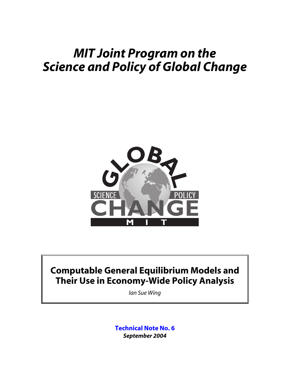# *MIT Joint Program on the Science and Policy of Global Change*



## **Computable General Equilibrium Models and Their Use in Economy-Wide Policy Analysis**

*Ian Sue Wing*

**Technical Note No. 6** *September 2004*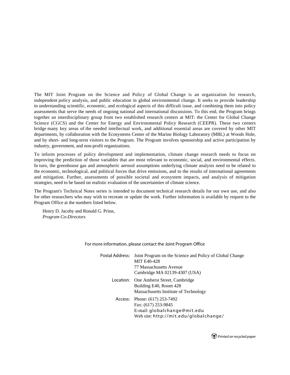The MIT Joint Program on the Science and Policy of Global Change is an organization for research, independent policy analysis, and public education in global environmental change. It seeks to provide leadership in understanding scientific, economic, and ecological aspects of this difficult issue, and combining them into policy assessments that serve the needs of ongoing national and international discussions. To this end, the Program brings together an interdisciplinary group from two established research centers at MIT: the Center for Global Change Science (CGCS) and the Center for Energy and Environmental Policy Research (CEEPR). These two centers bridge many key areas of the needed intellectual work, and additional essential areas are covered by other MIT departments, by collaboration with the Ecosystems Center of the Marine Biology Laboratory (MBL) at Woods Hole, and by short- and long-term visitors to the Program. The Program involves sponsorship and active participation by industry, government, and non-profit organizations.

To inform processes of policy development and implementation, climate change research needs to focus on improving the prediction of those variables that are most relevant to economic, social, and environmental effects. In turn, the greenhouse gas and atmospheric aerosol assumptions underlying climate analysis need to be related to the economic, technological, and political forces that drive emissions, and to the results of international agreements and mitigation. Further, assessments of possible societal and ecosystem impacts, and analysis of mitigation strategies, need to be based on realistic evaluation of the uncertainties of climate science.

The Program's Technical Notes series is intended to document technical research details for our own use, and also for other researchers who may wish to recreate or update the work. Further information is available by request to the Program Office at the numbers listed below.

Henry D. Jacoby and Ronald G. Prinn, *Program Co-Directors*

For more information, please contact the Joint Program Office

| Postal Address: Joint Program on the Science and Policy of Global Change |
|--------------------------------------------------------------------------|
| <b>MIT E40-428</b>                                                       |
| 77 Massachusetts Avenue                                                  |
| Cambridge MA 02139-4307 (USA)                                            |
| Location: One Amherst Street, Cambridge                                  |
| Building E40, Room 428                                                   |
| Massachusetts Institute of Technology                                    |
| Access: Phone: (617) 253-7492                                            |
| Fax: (617) 253-9845                                                      |
| E-mail: globalchange@mit.edu                                             |
| Web site: http://mit.edu/globalchange/                                   |
|                                                                          |

*Printed on recycled paper*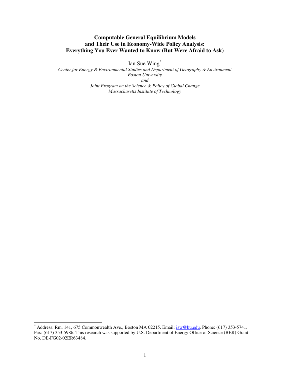### **Computable General Equilibrium Models and Their Use in Economy-Wide Policy Analysis: Everything You Ever Wanted to Know (But Were Afraid to Ask)**

Ian Sue Wing\*

*Center for Energy & Environmental Studies and Department of Geography & Environment Boston University and Joint Program on the Science & Policy of Global Change Massachusetts Institute of Technology* 

 $*$  Address: Rm. 141, 675 Commonwealth Ave., Boston MA 02215. Email:  $i$ <sub>sw</sub>@bu.edu. Phone: (617) 353-5741. Fax: (617) 353-5986. This research was supported by U.S. Department of Energy Office of Science (BER) Grant No. DE-FG02-02ER63484.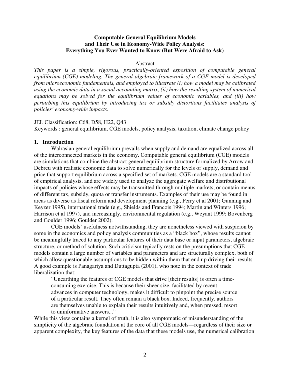### **Computable General Equilibrium Models and Their Use in Economy-Wide Policy Analysis: Everything You Ever Wanted to Know (But Were Afraid to Ask)**

### Abstract

*This paper is a simple, rigorous, practically-oriented exposition of computable general equilibrium (CGE) modeling. The general algebraic framework of a CGE model is developed from microeconomic fundamentals, and employed to illustrate (i) how a model may be calibrated using the economic data in a social accounting matrix, (ii) how the resulting system of numerical equations may be solved for the equilibrium values of economic variables, and (iii) how perturbing this equilibrium by introducing tax or subsidy distortions facilitates analysis of policies' economy-wide impacts.* 

### JEL Classification: C68, D58, H22, Q43

Keywords : general equilibrium, CGE models, policy analysis, taxation, climate change policy

### **1. Introduction**

Walrasian general equilibrium prevails when supply and demand are equalized across all of the interconnected markets in the economy. Computable general equilibrium (CGE) models are simulations that combine the abstract general equilibrium structure formalized by Arrow and Debreu with realistic economic data to solve numerically for the levels of supply, demand and price that support equilibrium across a specified set of markets. CGE models are a standard tool of empirical analysis, and are widely used to analyze the aggregate welfare and distributional impacts of policies whose effects may be transmitted through multiple markets, or contain menus of different tax, subsidy, quota or transfer instruments. Examples of their use may be found in areas as diverse as fiscal reform and development planning (e.g., Perry et al 2001; Gunning and Keyzer 1995), international trade (e.g., Shields and Francois 1994; Martin and Winters 1996; Harrison et al 1997), and increasingly, environmental regulation (e.g., Weyant 1999; Bovenberg and Goulder 1996; Goulder 2002).

CGE models' usefulness notwithstanding, they are nonetheless viewed with suspicion by some in the economics and policy analysis communities as a "black box", whose results cannot be meaningfully traced to any particular features of their data base or input parameters, algebraic structure, or method of solution. Such criticism typically rests on the presumptions that CGE models contain a large number of variables and parameters and are structurally complex, both of which allow questionable assumptions to be hidden within them that end up driving their results. A good example is Panagariya and Duttagupta (2001), who note in the context of trade liberalization that:

"Unearthing the features of CGE models that drive [their results] is often a timeconsuming exercise. This is because their sheer size, facilitated by recent advances in computer technology, makes it difficult to pinpoint the precise source of a particular result. They often remain a black box. Indeed, frequently, authors are themselves unable to explain their results intuitively and, when pressed, resort to uninformative answers..."

While this view contains a kernel of truth, it is also symptomatic of misunderstanding of the simplicity of the algebraic foundation at the core of all CGE models—regardless of their size or apparent complexity, the key features of the data that these models use, the numerical calibration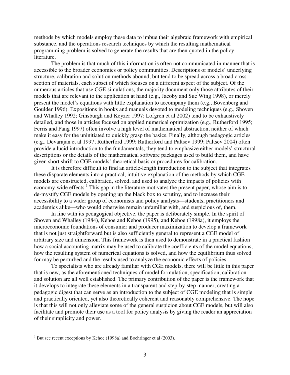methods by which models employ these data to imbue their algebraic framework with empirical substance, and the operations research techniques by which the resulting mathematical programming problem is solved to generate the results that are then quoted in the policy literature.

The problem is that much of this information is often not communicated in manner that is accessible to the broader economics or policy communities. Descriptions of models' underlying structure, calibration and solution methods abound, but tend to be spread across a broad crosssection of materials, each subset of which focuses on a different aspect of the subject. Of the numerous articles that use CGE simulations, the majority document only those attributes of their models that are relevant to the application at hand (e.g., Jacoby and Sue Wing 1998), or merely present the model's equations with little explanation to accompany them (e.g., Bovenberg and Goulder 1996). Expositions in books and manuals devoted to modeling techniques (e.g., Shoven and Whalley 1992; Ginsburgh and Keyzer 1997; Lofgren et al 2002) tend to be exhaustively detailed, and those in articles focused on applied numerical optimization (e.g., Rutherford 1995; Ferris and Pang 1997) often involve a high level of mathematical abstraction, neither of which make it easy for the uninitiated to quickly grasp the basics. Finally, although pedagogic articles (e.g., Devarajan et al 1997; Rutherford 1999; Rutherford and Paltsev 1999; Paltsev 2004) often provide a lucid introduction to the fundamentals, they tend to emphasize either models' structural descriptions or the details of the mathematical software packages used to build them, and have given short shrift to CGE models' theoretical basis or procedures for calibration.

It is therefore difficult to find an article-length introduction to the subject that integrates these disparate elements into a practical, intuitive explanation of the methods by which CGE models are constructed, calibrated, solved, and used to analyze the impacts of policies with economy-wide effects.<sup>1</sup> This gap in the literature motivates the present paper, whose aim is to de-mystify CGE models by opening up the black box to scrutiny, and to increase their accessibility to a wider group of economists and policy analysts—students, practitioners and academics alike—who would otherwise remain unfamiliar with, and suspicious of, them.

In line with its pedagogical objective, the paper is deliberately simple. In the spirit of Shoven and Whalley (1984), Kehoe and Kehoe (1995), and Kehoe (1998a), it employs the microeconomic foundations of consumer and producer maximization to develop a framework that is not just straightforward but is also sufficiently general to represent a CGE model of arbitrary size and dimension. This framework is then used to demonstrate in a practical fashion how a social accounting matrix may be used to calibrate the coefficients of the model equations, how the resulting system of numerical equations is solved, and how the equilibrium thus solved for may be perturbed and the results used to analyze the economic effects of policies.

To specialists who are already familiar with CGE models, there will be little in this paper that is new, as the aforementioned techniques of model formulation, specification, calibration and solution are all well established. The primary contribution of the paper is the framework that it develops to integrate these elements in a transparent and step-by-step manner, creating a pedagogic digest that can serve as an introduction to the subject of CGE modeling that is simple and practically oriented, yet also theoretically coherent and reasonably comprehensive. The hope is that this will not only alleviate some of the general suspicion about CGE models, but will also facilitate and promote their use as a tool for policy analysis by giving the reader an appreciation of their simplicity and power.

 $1$  But see recent exceptions by Kehoe (1998a) and Boehringer et al (2003).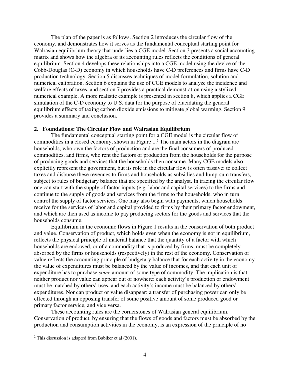The plan of the paper is as follows. Section 2 introduces the circular flow of the economy, and demonstrates how it serves as the fundamental conceptual starting point for Walrasian equilibrium theory that underlies a CGE model. Section 3 presents a social accounting matrix and shows how the algebra of its accounting rules reflects the conditions of general equilibrium. Section 4 develops these relationships into a CGE model using the device of the Cobb-Douglas (C-D) economy in which households have C-D preferences and firms have C-D production technology. Section 5 discusses techniques of model formulation, solution and numerical calibration. Section 6 explains the use of CGE models to analyze the incidence and welfare effects of taxes, and section 7 provides a practical demonstration using a stylized numerical example. A more realistic example is presented in section 8, which applies a CGE simulation of the C-D economy to U.S. data for the purpose of elucidating the general equilibrium effects of taxing carbon dioxide emissions to mitigate global warming. Section 9 provides a summary and conclusion.

### **2. Foundations: The Circular Flow and Walrasian Equilibrium**

The fundamental conceptual starting point for a CGE model is the circular flow of commodities in a closed economy, shown in Figure  $1<sup>2</sup>$ . The main actors in the diagram are households, who own the factors of production and are the final consumers of produced commodities, and firms, who rent the factors of production from the households for the purpose of producing goods and services that the households then consume. Many CGE models also explicitly represent the government, but its role in the circular flow is often passive: to collect taxes and disburse these revenues to firms and households as subsidies and lump-sum transfers, subject to rules of budgetary balance that are specified by the analyst. In tracing the circular flow one can start with the supply of factor inputs (e.g. labor and capital services) to the firms and continue to the supply of goods and services from the firms to the households, who in turn control the supply of factor services. One may also begin with payments, which households receive for the services of labor and capital provided to firms by their primary factor endowment, and which are then used as income to pay producing sectors for the goods and services that the households consume.

Equilibrium in the economic flows in Figure 1 results in the conservation of both product and value. Conservation of product, which holds even when the economy is not in equilibrium, reflects the physical principle of material balance that the quantity of a factor with which households are endowed, or of a commodity that is produced by firms, must be completely absorbed by the firms or households (respectively) in the rest of the economy. Conservation of value reflects the accounting principle of budgetary balance that for each activity in the economy the value of expenditures must be balanced by the value of incomes, and that each unit of expenditure has to purchase *some* amount of some type of commodity. The implication is that neither product nor value can appear out of nowhere: each activity's production or endowment must be matched by others' uses, and each activity's income must be balanced by others' expenditures. Nor can product or value disappear: a transfer of purchasing power can only be effected through an opposing transfer of some positive amount of some produced good or primary factor service, and vice versa.

These accounting rules are the cornerstones of Walrasian general equilibrium. Conservation of product, by ensuring that the flows of goods and factors must be absorbed by the production and consumption activities in the economy, is an expression of the principle of no

 $2$  This discussion is adapted from Babiker et al (2001).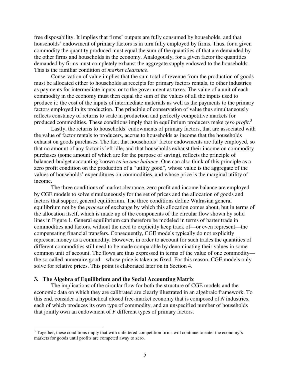free disposability. It implies that firms' outputs are fully consumed by households, and that households' endowment of primary factors is in turn fully employed by firms. Thus, for a given commodity the quantity produced must equal the sum of the quantities of that are demanded by the other firms and households in the economy. Analogously, for a given factor the quantities demanded by firms must completely exhaust the aggregate supply endowed to the households. This is the familiar condition of *market clearance*.

Conservation of value implies that the sum total of revenue from the production of goods must be allocated either to households as receipts for primary factors rentals, to other industries as payments for intermediate inputs, or to the government as taxes. The value of a unit of each commodity in the economy must then equal the sum of the values of all the inputs used to produce it: the cost of the inputs of intermediate materials as well as the payments to the primary factors employed in its production. The principle of conservation of value thus simultaneously reflects constancy of returns to scale in production and perfectly competitive markets for produced commodities. These conditions imply that in equilibrium producers make *zero profit*. 3

Lastly, the returns to households' endowments of primary factors, that are associated with the value of factor rentals to producers, accrue to households as income that the households exhaust on goods purchases. The fact that households' factor endowments are fully employed, so that no amount of any factor is left idle, and that households exhaust their income on commodity purchases (some amount of which are for the purpose of saving), reflects the principle of balanced-budget accounting known as *income balance*. One can also think of this principle as a zero profit condition on the production of a "utility good", whose value is the aggregate of the values of households' expenditures on commodities, and whose price is the marginal utility of income.

The three conditions of market clearance, zero profit and income balance are employed by CGE models to solve simultaneously for the set of prices and the allocation of goods and factors that support general equilibrium. The three conditions define Walrasian general equilibrium not by the *process* of exchange by which this allocation comes about, but in terms of the allocation itself, which is made up of the components of the circular flow shown by solid lines in Figure 1. General equilibrium can therefore be modeled in terms of barter trade in commodities and factors, without the need to explicitly keep track of—or even represent—the compensating financial transfers. Consequently, CGE models typically do not explicitly represent money as a commodity. However, in order to account for such trades the quantities of different commodities still need to be made comparable by denominating their values in some common unit of account. The flows are thus expressed in terms of the value of one commodity the so-called numeraire good—whose price is taken as fixed. For this reason, CGE models only solve for relative prices. This point is elaborated later on in Section 4.

### **3. The Algebra of Equilibrium and the Social Accounting Matrix**

The implications of the circular flow for both the structure of CGE models and the economic data on which they are calibrated are clearly illustrated in an algebraic framework. To this end, consider a hypothetical closed free-market economy that is composed of *N* industries, each of which produces its own type of commodity, and an unspecified number of households that jointly own an endowment of *F* different types of primary factors.

<sup>&</sup>lt;sup>3</sup> Together, these conditions imply that with unfettered competition firms will continue to enter the economy's markets for goods until profits are competed away to zero.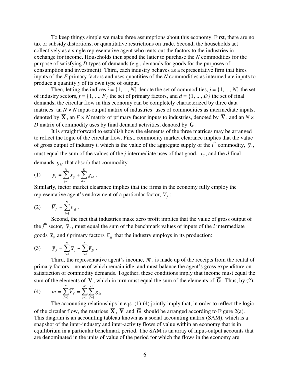To keep things simple we make three assumptions about this economy. First, there are no tax or subsidy distortions, or quantitative restrictions on trade. Second, the households act collectively as a single representative agent who rents out the factors to the industries in exchange for income. Households then spend the latter to purchase the *N* commodities for the purpose of satisfying *D* types of demands (e.g., demands for goods for the purposes of consumption and investment). Third, each industry behaves as a representative firm that hires inputs of the *F* primary factors and uses quantities of the *N* commodities as intermediate inputs to produce a quantity *y* of its own type of output.

Then, letting the indices  $i = \{1, ..., N\}$  denote the set of commodities,  $j = \{1, ..., N\}$  the set of industry sectors,  $f = \{1, ..., F\}$  the set of primary factors, and  $d = \{1, ..., D\}$  the set of final demands, the circular flow in this economy can be completely characterized by three data matrices: an  $N \times N$  input-output matrix of industries' uses of commodities as intermediate inputs, denoted by  $\overline{X}$ , an  $F \times N$  matrix of primary factor inputs to industries, denoted by  $\overline{V}$ , and an  $N \times$ *D* matrix of commodity uses by final demand activities, denoted by  $\overline{G}$ .

It is straightforward to establish how the elements of the three matrices may be arranged to reflect the logic of the circular flow. First, commodity market clearance implies that the value of gross output of industry *i*, which is the value of the aggregate supply of the *i*<sup>th</sup> commodity,  $\bar{y}_i$ , must equal the sum of the values of the *j* intermediate uses of that good,  $\bar{x}_i$ , and the *d* final demands  $\overline{g}_{id}$  that absorb that commodity:

$$
(1) \qquad \overline{y}_i = \sum_{j=1}^N \overline{x}_{ij} + \sum_{d=1}^D \overline{g}_{id} .
$$

Similarly, factor market clearance implies that the firms in the economy fully employ the representative agent's endowment of a particular factor,  $\overline{V}_f$ :

$$
(2) \qquad \overline{V}_f = \sum_{i=1}^N \overline{v}_{fj} \ .
$$

Second, the fact that industries make zero profit implies that the value of gross output of the  $j^{\text{th}}$  sector,  $\bar{y}_j$ , must equal the sum of the benchmark values of inputs of the *i* intermediate goods  $\bar{x}_i$  and *f* primary factors  $\bar{v}_i$  that the industry employs in its production:

(3) 
$$
\overline{y}_j = \sum_{i=1}^N \overline{x}_{ij} + \sum_{i=1}^F \overline{v}_j.
$$

Third, the representative agent's income,  $\overline{m}$ , is made up of the receipts from the rental of primary factors—none of which remain idle, and must balance the agent's gross expenditure on satisfaction of commodity demands. Together, these conditions imply that income must equal the sum of the elements of  $\overline{V}$ , which in turn must equal the sum of the elements of  $\overline{G}$ . Thus, by (2),

(4) 
$$
\overline{m} = \sum_{f=1}^{F} \overline{V}_f = \sum_{i=1}^{N} \sum_{d=1}^{D} \overline{g}_{id}.
$$

The accounting relationships in eqs. (1)-(4) jointly imply that, in order to reflect the logic of the circular flow, the matrices  $\overline{\mathbf{X}}$ ,  $\overline{\mathbf{V}}$  and  $\overline{\mathbf{G}}$  should be arranged according to Figure 2(a). This diagram is an accounting tableau known as a social accounting matrix (SAM), which is a snapshot of the inter-industry and inter-activity flows of value within an economy that is in equilibrium in a particular benchmark period. The SAM is an array of input-output accounts that are denominated in the units of value of the period for which the flows in the economy are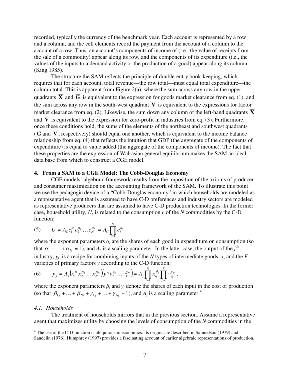recorded, typically the currency of the benchmark year. Each account is represented by a row and a column, and the cell elements record the payment from the account of a column to the account of a row. Thus, an account's components of income of (i.e., the value of receipts from the sale of a commodity) appear along its row, and the components of its expenditure (i.e., the values of the inputs to a demand activity or the production of a good) appear along its column (King 1985).

The structure the SAM reflects the principle of double-entry book-keeping, which requires that for each account, total revenue—the row total—must equal total expenditure—the column total. This is apparent from Figure 2(a), where the sum across any row in the upper quadrants  $\overline{X}$  and  $\overline{G}$  is equivalent to the expression for goods market clearance from eq. (1), and the sum across any row in the south-west quadrant  $\overline{V}$  is equivalent to the expressions for factor market clearance from eq. (2). Likewise, the sum down any column of the left-hand quadrants  $\overline{X}$ and  $\overline{V}$  is equivalent to the expression for zero-profit in industries from eq. (3). Furthermore, once these conditions hold, the sums of the elements of the northeast and southwest quadrants  $(\overline{G}$  and  $\overline{V}$ , respectively) should equal one another, which is equivalent to the income balance relationship from eq. (4) that reflects the intuition that GDP (the aggregate of the components of expenditure) is equal to value added (the aggregate of the components of income). The fact that these properties are the expression of Walrasian general equilibrium makes the SAM an ideal data base from which to construct a CGE model.

### **4. From a SAM to a CGE Model: The Cobb-Douglas Economy**

CGE models' algebraic framework results from the imposition of the axioms of producer and consumer maximization on the accounting framework of the SAM. To illustrate this point we use the pedagogic device of a "Cobb-Douglas economy" in which households are modeled as a representative agent that is assumed to have C-D preferences and industry sectors are modeled as representative producers that are assumed to have C-D production technologies. In the former case, household utility,  $U$ , is related to the consumption  $c$  of the  $N$  commodities by the C-D function:

(5) 
$$
U = A_C c_1^{\alpha_1} c_2^{\alpha_2} \dots c_N^{\alpha_N} = A_C \prod_{i=1}^N c_i^{\alpha_i},
$$

where the exponent parameters  $a_i$  are the shares of each good in expenditure on consumption (so that  $\alpha_1 + \ldots + \alpha_N = 1$ ), and  $A_c$  is a scaling parameter. In the latter case, the output of the *j*<sup>th</sup> industry, *yj*, is a recipe for combining inputs of the *N* types of intermediate goods, *x*, and the *F* varieties of primary factors *v* according to the C-D function:

(6) 
$$
y_j = A_j \left( x_1^{\beta_1} x_2^{\beta_2} \dots x_N^{\beta_N} \right) \left( v_1^{\gamma_1} v_2^{\gamma_2} \dots v_F^{\gamma_N} \right) = A_j \prod_{i=1}^N x_{ij}^{\beta_{ij}} \prod_{f=1}^F v_{jj}^{\gamma_{jj}},
$$

where the exponent parameters  $\beta_i$  and  $\gamma_i$  denote the shares of each input in the cost of production (so that  $\beta_{1j}$  + ... +  $\beta_{Nj}$  +  $\gamma_{1j}$  + ... +  $\gamma_{Nj}$  = 1), and  $A_j$  is a scaling parameter.<sup>4</sup>

### *4.1. Households*

The treatment of households mirrors that in the previous section. Assume a representative agent that maximizes utility by choosing the levels of consumption of the *N* commodities in the

<sup>&</sup>lt;sup>4</sup> The use of the C-D function is ubiquitous in economics. Its origins are described in Samuelson (1979) and Sandelin (1976). Humphrey (1997) provides a fascinating account of earlier algebraic representations of production.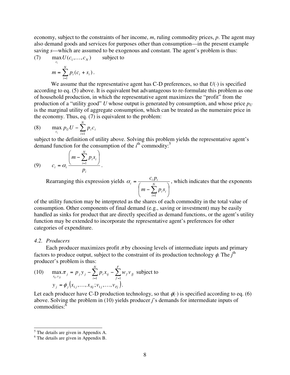economy, subject to the constraints of her income, *m*, ruling commodity prices, *p*. The agent may also demand goods and services for purposes other than consumption—in the present example saving *s*—which are assumed to be exogenous and constant. The agent's problem is thus:

(7) 
$$
\max_{c_i} U(c_1, \dots, c_N) \qquad \text{subject to}
$$

$$
m = \sum_{i=1}^N p_i(c_i + s_i).
$$

We assume that the representative agent has C-D preferences, so that  $U(\cdot)$  is specified according to eq. (5) above. It is equivalent but advantageous to re-formulate this problem as one of household production, in which the representative agent maximizes the "profit" from the production of a "utility good" *U* whose output is generated by consumption, and whose price  $p_U$ is the marginal utility of aggregate consumption, which can be treated as the numeraire price in the economy. Thus, eq. (7) is equivalent to the problem:

(8) 
$$
\max_{c_i} p_U U - \sum_{i=1}^N p_i c_i
$$

subject to the definition of utility above. Solving this problem yields the representative agent's demand function for the consumption of the  $i<sup>th</sup>$  commodity:<sup>5</sup>

$$
(9) \qquad c_i = \alpha_i \frac{\left(m - \sum_{i=1}^N p_i s_i\right)}{p_i}.
$$

Rearranging this expression yields  $\overline{\phantom{a}}$ J  $\left(m-\sum_{i=1}^{N} p_i s_i\right)$  $\setminus$  $\Big($ <sub>m</sub> – =  $\sum_{i=1}$ *N i i i*  $\frac{c_i P_i}{\sqrt{N}} = \frac{c_i P_i}{N}$  $m - \sum p_i s$  $c_i p$ 1  $\alpha_i = \frac{c_i p_i}{\sqrt{n_i}}$ , which indicates that the exponents

of the utility function may be interpreted as the shares of each commodity in the total value of consumption. Other components of final demand (e.g., saving or investment) may be easily handled as sinks for product that are directly specified as demand functions, or the agent's utility function may be extended to incorporate the representative agent's preferences for other categories of expenditure.

### *4.2. Producers*

Each producer maximizes profit  $\pi$  by choosing levels of intermediate inputs and primary factors to produce output, subject to the constraint of its production technology φ. The *j* th producer's problem is thus:

(10) 
$$
\max_{x_{ij}, v_{jj}} \pi_j = p_j y_j - \sum_{i=1}^N p_i x_{ij} - \sum_{f=1}^F w_f v_{jj} \text{ subject to}
$$

$$
y_j = \phi_j (x_{1j}, ..., x_{Nj}; v_{1j}, ..., v_{Fj}).
$$

Let each producer have C-D production technology, so that  $\phi(\cdot)$  is specified according to eq. (6) above. Solving the problem in (10) yields producer *j*'s demands for intermediate inputs of commodities:<sup>6</sup>

<sup>&</sup>lt;sup>5</sup> The details are given in Appendix A.

<sup>6</sup> The details are given in Appendix B.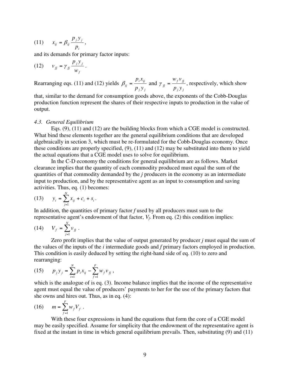$$
(11) \t x_{ij} = \beta_{ij} \frac{p_j y_j}{p_i},
$$

and its demands for primary factor inputs:

$$
(12) \qquad v_{fj} = \gamma_{fj} \frac{p_j y_j}{w_f} \, .
$$

Rearranging eqs. (11) and (12) yields *j j i ij*  $\binom{y}{y}$  *p y*  $p_i x$  $\beta_{ij} = \frac{F V_{ij}}{T}$  and *j j f fj*  $\int$ *fj*  $-p$ <sub>*i*</sub> $y$  $W_f V$  $\gamma_{fi} = \frac{\gamma_{f} + \gamma_{f}}{\gamma_{fi}}$ , respectively, which show

that, similar to the demand for consumption goods above, the exponents of the Cobb-Douglas production function represent the shares of their respective inputs to production in the value of output.

### *4.3. General Equilibrium*

Eqs. (9), (11) and (12) are the building blocks from which a CGE model is constructed. What bind these elements together are the general equilibrium conditions that are developed algebraically in section 3, which must be re-formulated for the Cobb-Douglas economy. Once these conditions are properly specified, (9), (11) and (12) may be substituted into them to yield the actual equations that a CGE model uses to solve for equilibrium.

In the C-D economy the conditions for general equilibrium are as follows. Market clearance implies that the quantity of each commodity produced must equal the sum of the quantities of that commodity demanded by the *j* producers in the economy as an intermediate input to production, and by the representative agent as an input to consumption and saving activities. Thus, eq. (1) becomes:

(13) 
$$
y_i = \sum_{j=1}^N x_{ij} + c_i + s_i.
$$

In addition, the quantities of primary factor *f* used by all producers must sum to the representative agent's endowment of that factor, *Vf*. From eq. (2) this condition implies:

$$
(14) \tV_f = \sum_{j=1}^N v_{jj} .
$$

Zero profit implies that the value of output generated by producer *j* must equal the sum of the values of the inputs of the *i* intermediate goods and *f* primary factors employed in production. This condition is easily deduced by setting the right-hand side of eq. (10) to zero and rearranging:

$$
(15) \t p_j y_j = \sum_{i=1}^N p_i x_{ij} - \sum_{f=1}^F w_f v_f,
$$

which is the analogue of is eq. (3). Income balance implies that the income of the representative agent must equal the value of producers' payments to her for the use of the primary factors that she owns and hires out. Thus, as in eq. (4):

(16) 
$$
m = \sum_{f=1}^{F} w_f V_f.
$$

With these four expressions in hand the equations that form the core of a CGE model may be easily specified. Assume for simplicity that the endowment of the representative agent is fixed at the instant in time in which general equilibrium prevails. Then, substituting (9) and (11)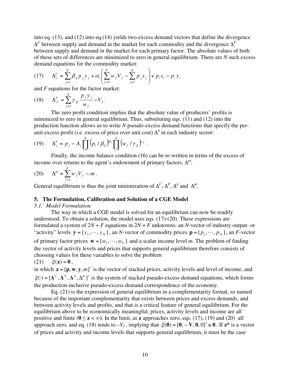into eq. (13), and (12) into eq.(14) yields two excess demand vectors that define the divergence ∆*C* between supply and demand in the market for each commodity and the divergence ∆*<sup>F</sup>* between supply and demand in the market for each primary factor. The absolute values of both of these sets of differences are minimized to zero in general equilibrium. There are *N* such excess demand equations for the commodity market:

(17) 
$$
\Delta_i^C = \sum_{j=1}^N \beta_{ij} p_j y_j + \alpha_i \left( \sum_{f=1}^F w_f V_f - \sum_{j=1}^N p_j s_j \right) + p_i s_i - p_i y_i
$$

and *F* equations for the factor market:

(18) 
$$
\Delta_f^F = \sum_{j=1}^N \gamma_{fj} \frac{p_j y_j}{w_f} - V_f.
$$

The zero profit condition implies that the absolute value of producers' profits is minimized to zero in general equilibrium. Thus, substituting eqs. (11) and (12) into the production function allows us to write *N* pseudo-excess demand functions that specify the perunit excess profit (i.e. excess of price over unit cost)  $\Delta^{\pi}$  in each industry sector:

(19) 
$$
\Delta_j^{\pi} = p_j - A_j \prod_{i=1}^N (p_i / \beta_{ij})^{\beta_{ij}} \prod_{f=1}^F (w_f / \gamma_{f\bar{j}})^{\gamma_{f\bar{j}}}.
$$

Finally, the income balance condition (16) can be re-written in terms of the excess of income over returns to the agent's endowment of primary factors, ∆*<sup>m</sup>*:

(20) 
$$
\Delta^m = \sum_{f=1}^F w_f V_f - m \, .
$$

General equilibrium is thus the joint minimization of  $\Delta^C$ ,  $\Delta^F$ ,  $\Delta^{\pi}$  and  $\Delta^m$ .

### **5. The Formulation, Calibration and Solution of a CGE Model**

### *5.1. Model Formulation*

The way in which a CGE model is solved for an equilibrium can now be readily understood. To obtain a solution, the model uses eqs. (17)-(20). These expressions are formulated a system of  $2N + F$  equations in  $2N + F$  unknowns: an *N*-vector of industry output- or "activity" levels  $\mathbf{y} = [y_1, \dots, y_N]$ , an *N*-vector of commodity prices  $\mathbf{p} = [p_1, \dots, p_N]$ , an *F*-vector of primary factor prices  $\mathbf{w} = [w_1, \dots, w_F]$  and a scalar income level *m*. The problem of finding the vector of activity levels and prices that supports general equilibrium therefore consists of choosing values for these variables to solve the problem (21)  $\xi(z) = 0$ ,

in which  $\mathbf{z} = [\mathbf{p}, \mathbf{w}, \mathbf{y}, m]'$  is the vector of stacked prices, activity levels and level of income, and  $\xi(\cdot) = [\Delta^C, \Delta^F, \Delta^T, \Delta^m]$  is the system of stacked pseudo-excess demand equations, which forms the production-inclusive pseudo-excess demand correspondence of the economy.

Eq. (21) is the expression of general equilibrium in a complementarity format, so named because of the important complementarity that exists between prices and excess demands, and between activity levels and profits, and that is a critical feature of general equilibrium. For the equilibrium above to be economically meaningful, prices, activity levels and income are all positive and finite ( $0 \le z < \infty$ ). In the limit, as **z** approaches zero, eqs. (17), (19) and (20) all approach zero, and eq. (18) tends to  $-V_f$ , implying that  $\xi(0) = [0, -V, 0, 0]' \le 0$ . If  $z^*$  is a vector of prices and activity and income levels that supports general equilibrium, it must be the case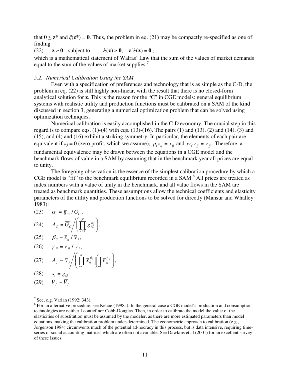that  $0 \le z^*$  and  $\zeta(z^*) = 0$ . Thus, the problem in eq. (21) may be compactly re-specified as one of finding

(22)  $z \ge 0$  subject to  $\xi(z) \ge 0$ ,  $z' \xi(z) = 0$ ,

which is a mathematical statement of Walras' Law that the sum of the values of market demands equal to the sum of the values of market supplies.<sup>7</sup>

### *5.2. Numerical Calibration Using the SAM*

Even with a specification of preferences and technology that is as simple as the C-D, the problem in eq. (22) is still highly non-linear, with the result that there is no closed-form analytical solution for **z**. This is the reason for the "C" in CGE models: general equilibrium systems with realistic utility and production functions must be calibrated on a SAM of the kind discussed in section 3, generating a numerical optimization problem that can be solved using optimization techniques.

Numerical calibration is easily accomplished in the C-D economy. The crucial step in this regard is to compare eqs.  $(1)-(4)$  with eqs.  $(13)-(16)$ . The pairs  $(1)$  and  $(13)$ ,  $(2)$  and  $(14)$ ,  $(3)$  and (15), and (4) and (16) exhibit a striking symmetry. In particular, the elements of each pair are equivalent if  $\pi_j = 0$  (zero profit, which we assume),  $p_i x_{ij} = \overline{x}_{ij}$  and  $w_f v_{fi} = \overline{v}_{fi}$ . Therefore, a fundamental equivalence may be drawn between the equations in a CGE model and the benchmark flows of value in a SAM by assuming that in the benchmark year all prices are equal to unity.

The foregoing observation is the essence of the simplest calibration procedure by which a CGE model is "fit" to the benchmark equilibrium recorded in a SAM. $^8$  All prices are treated as index numbers with a value of unity in the benchmark, and all value flows in the SAM are treated as benchmark quantities. These assumptions allow the technical coefficients and elasticity parameters of the utility and production functions to be solved for directly (Mansur and Whalley 1983):

(23) 
$$
\alpha_i = \overline{g}_{ic} / \overline{G}_c,
$$
  
(24) 
$$
A_c = \overline{G}_c / \left( \prod_{i=1}^N \overline{g}_{ic}^{\alpha_i} \right),
$$

$$
(25) \qquad \beta_{ij} = \overline{x}_{ij} / \overline{y}_{j},
$$

$$
(26) \qquad \gamma_{jj} = \overline{v}_{jj} / \overline{y}_{j},
$$

$$
(27) \qquad A_j = \overline{y}_j \Bigg/ \Bigg( \prod_{i=1}^N \overline{x}_{ij}^{\beta_{ij}} \prod_{j=1}^F \overline{v}_{j}^{\gamma_{jj}} \Bigg),
$$

)

$$
(28) \t s_i = \overline{g}_{is},
$$

$$
(29) \qquad V_f = \overline{V}_f
$$

<sup>&</sup>lt;sup>7</sup> See, e.g. Varian (1992: 343).

 $8$  For an alternative procedure, see Kehoe (1998a). In the general case a CGE model's production and consumption technologies are neither Leontief nor Cobb-Douglas. Then, in order to calibrate the model the value of the elasticities of substitution must be assumed by the modeler, as there are more estimated parameters than model equations, making the calibration problem under-determined. The econometric approach to calibration (e.g., Jorgenson 1984) circumvents much of the potential ad-hocracy in this process, but is data intensive, requiring timeseries of social accounting matrices which are often not available. See Dawkins et al (2001) for an excellent survey of these issues.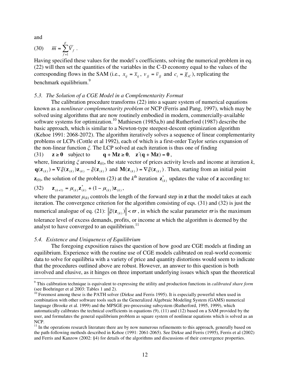and

$$
(30) \qquad \overline{m} = \sum_{f=1}^{F} \overline{V}_f \ .
$$

Having specified these values for the model's coefficients, solving the numerical problem in eq. (22) will then set the quantities of the variables in the C-D economy equal to the values of the corresponding flows in the SAM (i.e.,  $x_{ij} = \overline{x}_{ij}$ ,  $v_{fi} = \overline{v}_{fi}$  and  $c_i = \overline{g}_{ic}$ ), replicating the benchmark equilibrium.<sup>9</sup>

### *5.3. The Solution of a CGE Model in a Complementarity Format*

The calibration procedure transforms (22) into a square system of numerical equations known as a *nonlinear complementarity problem* or NCP (Ferris and Pang, 1997), which may be solved using algorithms that are now routinely embodied in modern, commercially-available software systems for optimization.<sup>10</sup> Mathiesen (1985a,b) and Rutherford (1987) describe the basic approach, which is similar to a Newton-type steepest-descent optimization algorithm (Kehoe 1991: 2068-2072). The algorithm iteratively solves a sequence of linear complementarity problems or LCPs (Cottle et al 1992), each of which is a first-order Taylor series expansion of the non-linear function *ξ*. The LCP solved at each iteration is thus one of finding (31)  $z \ge 0$  subject to  $q + Mz \ge 0$ ,  $z'(q + Mz) = 0$ ,

where, linearizing *ξ* around **z**(*<sup>k</sup>*), the state vector of prices activity levels and income at iteration *k*,  $\mathbf{q}(\mathbf{z}_{(k)}) = \nabla \xi(\mathbf{z}_{(k)}) \mathbf{z}_{(k)} - \xi(\mathbf{z}_{(k)})$  and  $\mathbf{M}(\mathbf{z}_{(k)}) = \nabla \xi(\mathbf{z}_{(k)})$ . Then, starting from an initial point

**z**<sub>(0)</sub>, the solution of the problem (23) at the  $k^{\text{th}}$  iteration  $\mathbf{z}_{(k)}^*$  updates the value of **z** according to:

(32) 
$$
\mathbf{z}_{(k+1)} = \boldsymbol{\mu}_{(k)} \mathbf{z}_{(k)}^* + (1 - \boldsymbol{\mu}_{(k)}) \mathbf{z}_{(k)},
$$

where the parameter  $\mu_{(k)}$  controls the length of the forward step in **z** that the model takes at each iteration. The convergence criterion for the algorithm consisting of eqs. (31) and (32) is just the numerical analogue of eq. (21):  $\|\xi(\mathbf{z}_{(k)})\| < \varpi$ , in which the scalar parameter  $\varpi$  is the maximum tolerance level of excess demands, profits, or income at which the algorithm is deemed by the analyst to have converged to an equilibrium. $^{11}$ 

### *5.4. Existence and Uniqueness of Equilibrium*

The foregoing exposition raises the question of how good are CGE models at finding an equilibrium. Experience with the routine use of CGE models calibrated on real-world economic data to solve for equilibria with a variety of price and quantity distortions would seem to indicate that the procedures outlined above are robust. However, an answer to this question is both involved and elusive, as it hinges on three important underlying issues which span the theoretical

<sup>9</sup> This calibration technique is equivalent to expressing the utility and production functions in *calibrated share form*  (see Boehringer et al 2003: Tables 1 and 2).

<sup>&</sup>lt;sup>10</sup> Foremost among these is the PATH solver (Dirkse and Ferris 1995). It is especially powerful when used in combination with other software tools such as the Generalized Algebraic Modeling System (GAMS) numerical language (Brooke et al. 1999) and the MPSGE pre-processing subsystem (Rutherford, 1995, 1999), which automatically calibrates the technical coefficients in equations (9), (11) and (12) based on a SAM provided by the user, and formulates the general equilibrium problem as square system of nonlinear equations which is solved as an NCP.

 $11$  In the operations research literature there are by now numerous refinements to this approach, generally based on the path-following methods described in Kehoe (1991: 2061-2065). See Dirkse and Ferris (1995), Ferris et al (2002) and Ferris and Kanzow (2002: §4) for details of the algorithms and discussions of their convergence properties.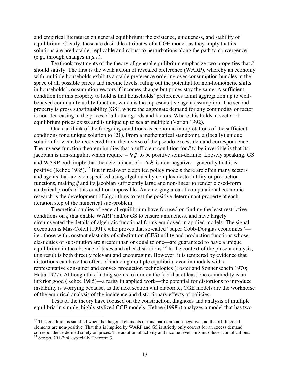and empirical literatures on general equilibrium: the existence, uniqueness, and stability of equilibrium. Clearly, these are desirable attributes of a CGE model, as they imply that its solutions are predictable, replicable and robust to perturbations along the path to convergence (e.g., through changes in  $\mu_{(k)}$ ).

Textbook treatments of the theory of general equilibrium emphasize two properties that *ξ* should satisfy. The first is the weak axiom of revealed preference (WARP), whereby an economy with multiple households exhibits a stable preference ordering over consumption bundles in the space of all possible prices and income levels, ruling out the potential for non-homothetic shifts in households' consumption vectors if incomes change but prices stay the same. A sufficient condition for this property to hold is that households' preferences admit aggregation up to wellbehaved community utility function, which is the representative agent assumption. The second property is gross substitutability (GS), where the aggregate demand for any commodity or factor is non-decreasing in the prices of all other goods and factors. Where this holds, a vector of equilibrium prices exists and is unique up to scalar multiple (Varian 1992).

One can think of the foregoing conditions as economic interpretations of the sufficient conditions for a unique solution to (21). From a mathematical standpoint, a (locally) unique solution for **z** can be recovered from the inverse of the pseudo-excess demand correspondence. The inverse function theorem implies that a sufficient condition for *ξ* to be invertible is that its jacobian is non-singular, which require  $-\nabla \xi$  to be positive semi-definite. Loosely speaking, GS and WARP both imply that the determinant of  $-\nabla \xi$  is non-negative—generally that it is positive (Kehoe 1985).<sup>12</sup> But in real-world applied policy models there are often many sectors and agents that are each specified using algebraically complex nested utility or production functions, making *ξ* and its jacobian sufficiently large and non-linear to render closed-form analytical proofs of this condition impossible. An emerging area of computational economic research is the development of algorithms to test the positive determinant property at each iteration step of the numerical sub-problem.

Theoretical studies of general equilibrium have focused on finding the least restrictive conditions on *ξ* that enable WARP and/or GS to ensure uniqueness, and have largely circumvented the details of algebraic functional forms employed in applied models. The signal exception is Mas-Colell (1991), who proves that so-called "super Cobb-Douglas economies" i.e., those with constant elasticity of substitution (CES) utility and production functions whose elasticities of substitution are greater than or equal to one—are guaranteed to have a unique equilibrium in the absence of taxes and other distortions.<sup>13</sup> In the context of the present analysis, this result is both directly relevant and encouraging. However, it is tempered by evidence that distortions can have the effect of inducing multiple equilibria, even in models with a representative consumer and convex production technologies (Foster and Sonnenschein 1970; Hatta 1977). Although this finding seems to turn on the fact that at least one commodity is an inferior good (Kehoe 1985)—a rarity in applied work—the potential for distortions to introduce instability is worrying because, as the next section will elaborate, CGE models are the workhorse of the empirical analysis of the incidence and distortionary effects of policies.

Tests of the theory have focused on the construction, diagnosis and analysis of multiple equilibria in simple, highly stylized CGE models. Kehoe (1998b) analyzes a model that has two

 $12$  This condition is satisfied when the diagonal elements of this matrix are non-negative and the off-diagonal elements are non-positive. That this is implied by WARP and GS is strictly only correct for an excess demand correspondence defined solely on prices. The addition of activity and income levels in **z** introduces complications. 13 See pp. 291-294, especially Theorem 3.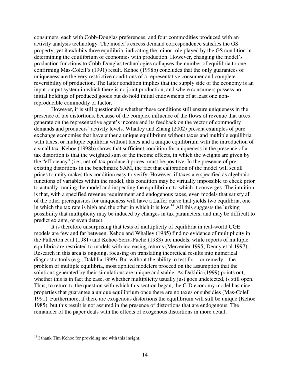consumers, each with Cobb-Douglas preferences, and four commodities produced with an activity analysis technology. The model's excess demand correspondence satisfies the GS property, yet it exhibits three equilibria, indicating the minor role played by the GS condition in determining the equilibrium of economies with production. However, changing the model's production functions to Cobb-Douglas technologies collapses the number of equilibria to one, confirming Mas-Colell's (1991) result. Kehoe (1998b) concludes that the only guarantees of uniqueness are the very restrictive conditions of a representative consumer and complete reversibility of production. The latter condition implies that the supply side of the economy is an input-output system in which there is no joint production, and where consumers possess no initial holdings of produced goods but do hold initial endowments of at least one nonreproducible commodity or factor.

However, it is still questionable whether these conditions still ensure uniqueness in the presence of tax distortions, because of the complex influence of the flows of revenue that taxes generate on the representative agent's income and its feedback on the vector of commodity demands and producers' activity levels. Whalley and Zhang (2002) present examples of pure exchange economies that have either a unique equilibrium without taxes and multiple equilibria with taxes, or multiple equilibria without taxes and a unique equilibrium with the introduction of a small tax. Kehoe (1998b) shows that sufficient condition for uniqueness in the presence of a tax distortion is that the weighted sum of the income effects, in which the weights are given by the "efficiency" (i.e., net-of-tax producer) prices, must be positive. In the presence of preexisting distortions in the benchmark SAM, the fact that calibration of the model will set all prices to unity makes this condition easy to verify. However, if taxes are specified as algebraic functions of variables within the model, this condition may be virtually impossible to check prior to actually running the model and inspecting the equilibrium to which it converges. The intuition is that, with a specified revenue requirement and endogenous taxes, even models that satisfy all of the other prerequisites for uniqueness will have a Laffer curve that yields two equilibria, one in which the tax rate is high and the other in which it is low.<sup>14</sup> All this suggests the lurking possibility that multiplicity may be induced by changes in tax parameters, and may be difficult to predict ex ante, or even detect.

It is therefore unsurprising that tests of multiplicity of equilibria in real-world CGE models are few and far between. Kehoe and Whalley (1985) find no evidence of multiplicity in the Fullerton et al (1981) and Kehoe-Serra-Puche (1983) tax models, while reports of multiple equilibria are restricted to models with increasing returns (Mercenier 1995; Denny et al 1997). Research in this area is ongoing, focusing on translating theoretical results into numerical diagnostic tools (e.g., Dakhlia 1999). But without the ability to test for—or remedy—the problem of multiple equilibria, most applied modelers proceed on the assumption that the solutions generated by their simulations are unique and stable. As Dakhlia (1999) points out, whether this is in fact the case, or whether multiplicity usually just goes undetected, is still open. Thus, to return to the question with which this section began, the C-D economy model has nice properties that guarantee a unique equilibrium once there are no taxes or subsidies (Mas-Colell 1991). Furthermore, if there are exogenous distortions the equilibrium will still be unique (Kehoe 1985), but this result is not assured in the presence of distortions that are endogenous. The remainder of the paper deals with the effects of exogenous distortions in more detail.

 $14$  I thank Tim Kehoe for providing me with this insight.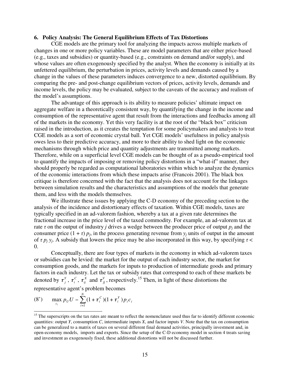### **6. Policy Analysis: The General Equilibrium Effects of Tax Distortions**

CGE models are the primary tool for analyzing the impacts across multiple markets of changes in one or more policy variables. These are model parameters that are either price-based (e.g., taxes and subsidies) or quantity-based (e.g., constraints on demand and/or supply), and whose values are often exogenously specified by the analyst. When the economy is initially at its unfettered equilibrium, the perturbation in prices, activity levels and demands caused by a change in the values of these parameters induces convergence to a new, distorted equilibrium. By comparing the pre- and post-change equilibrium vectors of prices, activity levels, demands and income levels, the policy may be evaluated, subject to the caveats of the accuracy and realism of the model's assumptions.

The advantage of this approach is its ability to measure policies' ultimate impact on aggregate welfare in a theoretically consistent way, by quantifying the change in the income and consumption of the representative agent that result from the interactions and feedbacks among all of the markets in the economy. Yet this very facility is at the root of the "black box" criticism raised in the introduction, as it creates the temptation for some policymakers and analysts to treat CGE models as a sort of economic crystal ball. Yet CGE models' usefulness in policy analysis owes less to their predictive accuracy, and more to their ability to shed light on the economic mechanisms through which price and quantity adjustments are transmitted among markets. Therefore, while on a superficial level CGE models can be thought of as a pseudo-empirical tool to quantify the impacts of imposing or removing policy distortions in a "what-if" manner, they should properly be regarded as computational laboratories within which to analyze the dynamics of the economic interactions from which these impacts arise (Francois 2001). The black box critique is therefore concerned with the fact that the analysis does not account for the linkages between simulation results and the characteristics and assumptions of the models that generate them, and less with the models themselves.

We illustrate these issues by applying the C-D economy of the preceding section to the analysis of the incidence and distortionary effects of taxation. Within CGE models, taxes are typically specified in an ad-valorem fashion, whereby a tax at a given rate determines the fractional increase in the price level of the taxed commodity. For example, an ad-valorem tax at rate  $\tau$  on the output of industry *j* drives a wedge between the producer price of output  $p_i$  and the consumer price  $(1 + \tau) p_i$ , in the process generating revenue from  $y_i$  units of output in the amount of  $\tau p_j y_j$ . A subsidy that lowers the price may be also incorporated in this way, by specifying  $\tau$  <  $\Omega$ .

Conceptually, there are four types of markets in the economy in which ad-valorem taxes or subsidies can be levied: the market for the output of each industry sector, the market for consumption goods, and the markets for inputs to production of intermediate goods and primary factors in each industry. Let the tax or subsidy rates that correspond to each of these markets be denoted by  $\tau_j^Y$ ,  $\tau_i^C$ ,  $\tau_{ij}^X$  and  $\tau_j^V$ , respectively.<sup>15</sup> Then, in light of these distortions the representative agent's problem becomes

(8') 
$$
\max_{c_i} p_U U - \sum_{i=1}^N (1 + \tau_i^C) (1 + \tau_i^Y) p_i c_i
$$

<sup>&</sup>lt;sup>15</sup> The superscripts on the tax rates are meant to reflect the nomenclature used thus far to identify different economic quantities: output *Y*, consumption *C*, intermediate inputs *X*, and factor inputs *V*. Note that the tax on consumption can be generalized to a matrix of taxes on several different final demand activities, principally investment and, in open-economy models, imports and exports. Since the setup of the C-D economy model in section 4 treats saving and investment as exogenously fixed, these additional distortions will not be discussed further.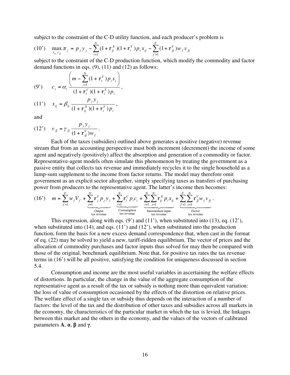subject to the constraint of the C-D utility function, and each producer's problem is

(10') 
$$
\max_{x_{ij}, v_{jj}} \pi_j = p_j y_j - \sum_{i=1}^N (1 + \tau_{ij}^X)(1 + \tau_i^Y) p_i x_{ij} - \sum_{f=1}^F (1 + \tau_{jj}^V) w_f v_{jj}
$$

subject to the constraint of the C-D production function, which modify the commodity and factor demand functions in eqs.  $(9)$ ,  $(11)$  and  $(12)$  as follows:

(9') 
$$
c_i = \alpha_i \frac{\left(m - \sum_{i=1}^{N} (1 + \tau_i^Y) p_i s_i\right)}{(1 + \tau_i^C)(1 + \tau_i^Y) p_i},
$$

(11') 
$$
x_{ij} = \beta_{ij} \frac{P_j y_j}{(1 + \tau_{ij}^X)(1 + \tau_i^Y) p_i},
$$

and

$$
(12') \quad v_{fj} = \gamma_{fj} \frac{p_j y_j}{(1 + \tau_{fj}^v) w_f}.
$$

Each of the taxes (subsidies) outlined above generates a positive (negative) revenue stream that from an accounting perspective must both increment (decrement) the income of some agent and negatively (positively) affect the absorption and generation of a commodity or factor. Representative-agent models often simulate this phenomenon by treating the government as a passive entity that collects tax revenue and immediately recycles it to the single household as a lump-sum supplement to the income from factor returns. The model may therefore omit government as an explicit sector altogether, simply specifying taxes as transfers of purchasing power from producers to the representative agent. The latter's income then becomes:

(16') 
$$
m = \sum_{f=1}^{F} w_f V_f + \underbrace{\sum_{j=1}^{N} \tau_j^Y p_j y_j}_{\text{Output}} + \underbrace{\sum_{i=1}^{N} \tau_i^C p_i c_i}_{\text{Consumption}} + \underbrace{\sum_{i=1}^{N} \sum_{j=1}^{N} \tau_{ij}^X p_i x_{ij}}_{\text{Intermediate input}} + \underbrace{\sum_{f=1}^{F} \sum_{j=1}^{N} \tau_{jj}^V w_f v_{fi}}_{\text{Factor}}.
$$

This expression, along with eqs.  $(9')$  and  $(11')$ , when substituted into  $(13)$ , eq.  $(12')$ , when substituted into  $(14)$ , and eqs.  $(11')$  and  $(12')$ , when substituted into the production function, form the basis for a new excess demand correspondence that, when cast in the format of eq. (22) may be solved to yield a new, tariff-ridden equilibrium. The vector of prices and the allocation of commodity purchases and factor inputs thus solved for may then be compared with those of the original, benchmark equilibrium. Note that, for positive tax rates the tax revenue terms in (16') will be all positive, satisfying the condition for uniqueness discussed in section 5.4.

Consumption and income are the most useful variables in ascertaining the welfare effects of distortions. In particular, the change in the value of the aggregate consumption of the representative agent as a result of the tax or subsidy is nothing more than equivalent variation: the loss of value of consumption occasioned by the effects of the distortion on relative prices. The welfare effect of a single tax or subsidy thus depends on the interaction of a number of factors: the level of the tax and the distribution of other taxes and subsidies across all markets in the economy, the characteristics of the particular market in which the tax is levied, the linkages between this market and the others in the economy, and the values of the vectors of calibrated parameters **A**, **α**, **β** and **γ**.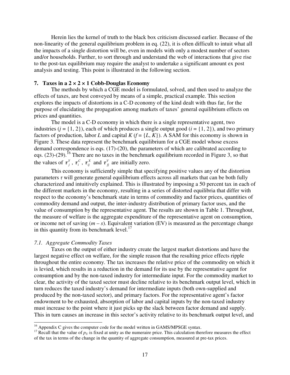Herein lies the kernel of truth to the black box criticism discussed earlier. Because of the non-linearity of the general equilibrium problem in eq. (22), it is often difficult to intuit what all the impacts of a single distortion will be, even in models with only a modest number of sectors and/or households. Further, to sort through and understand the web of interactions that give rise to the post-tax equilibrium may require the analyst to undertake a significant amount ex post analysis and testing. This point is illustrated in the following section.

### **7. Taxes in a 2 × 2 × 1 Cobb-Douglas Economy**

The methods by which a CGE model is formulated, solved, and then used to analyze the effects of taxes, are best conveyed by means of a simple, practical example. This section explores the impacts of distortions in a C-D economy of the kind dealt with thus far, for the purpose of elucidating the propagation among markets of taxes' general equilibrium effects on prices and quantities.

The model is a C-D economy in which there is a single representative agent, two industries  $(j = \{1, 2\})$ , each of which produces a single output good  $(i = \{1, 2\})$ , and two primary factors of production, labor *L* and capital  $K(f = \{L, K\})$ . A SAM for this economy is shown in Figure 3. These data represent the benchmark equilibrium for a CGE model whose excess demand correspondence is eqs. (17)-(20), the parameters of which are calibrated according to eqs.  $(23)-(29)$ .<sup>16</sup> There are no taxes in the benchmark equilibrium recorded in Figure 3, so that the values of  $\tau_j^Y$ ,  $\tau_i^C$ ,  $\tau_{ij}^X$  and  $\tau_j^Y$  are initially zero.

This economy is sufficiently simple that specifying positive values any of the distortion parameters  $\tau$  will generate general equilibrium effects across all markets that can be both fully characterized and intuitively explained. This is illustrated by imposing a 50 percent tax in each of the different markets in the economy, resulting in a series of distorted equilibria that differ with respect to the economy's benchmark state in terms of commodity and factor prices, quantities of commodity demand and output, the inter-industry distribution of primary factor uses, and the value of consumption by the representative agent. The results are shown in Table 1. Throughout, the measure of welfare is the aggregate expenditure of the representative agent on consumption, or income net of saving  $(m - s)$ . Equivalent variation (EV) is measured as the percentage change in this quantity from its benchmark level. $^{17}$ 

### *7.1. Aggregate Commodity Taxes*

 $\overline{a}$ 

Taxes on the output of either industry create the largest market distortions and have the largest negative effect on welfare, for the simple reason that the resulting price effects ripple throughout the entire economy. The tax increases the relative price of the commodity on which it is levied, which results in a reduction in the demand for its use by the representative agent for consumption and by the non-taxed industry for intermediate input. For the commodity market to clear, the activity of the taxed sector must decline relative to its benchmark output level, which in turn reduces the taxed industry's demand for intermediate inputs (both own-supplied and produced by the non-taxed sector), and primary factors. For the representative agent's factor endowment to be exhausted, absorption of labor and capital inputs by the non-taxed industry must increase to the point where it just picks up the slack between factor demand and supply. This in turn causes an increase in this sector's activity relative to its benchmark output level, and

 $16$  Appendix C gives the computer code for the model written in GAMS/MPSGE syntax.

<sup>&</sup>lt;sup>17</sup> Recall that the value of  $p_U$  is fixed at unity as the numeraire price. This calculation therefore measures the effect of the tax in terms of the change in the quantity of aggregate consumption, measured at pre-tax prices.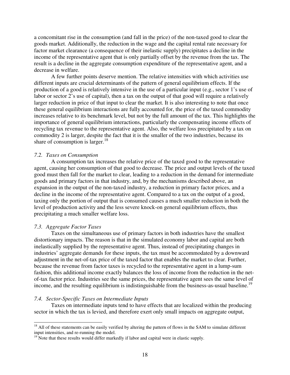a concomitant rise in the consumption (and fall in the price) of the non-taxed good to clear the goods market. Additionally, the reduction in the wage and the capital rental rate necessary for factor market clearance (a consequence of their inelastic supply) precipitates a decline in the income of the representative agent that is only partially offset by the revenue from the tax. The result is a decline in the aggregate consumption expenditure of the representative agent, and a decrease in welfare.

A few further points deserve mention. The relative intensities with which activities use different inputs are crucial determinants of the pattern of general equilibrium effects. If the production of a good is relatively intensive in the use of a particular input (e.g., sector 1's use of labor or sector 2's use of capital), then a tax on the output of that good will require a relatively larger reduction in price of that input to clear the market. It is also interesting to note that once these general equilibrium interactions are fully accounted for, the price of the taxed commodity increases relative to its benchmark level, but not by the full amount of the tax. This highlights the importance of general equilibrium interactions, particularly the compensating income effects of recycling tax revenue to the representative agent. Also, the welfare loss precipitated by a tax on commodity 2 is larger, despite the fact that it is the smaller of the two industries, because its share of consumption is larger.<sup>18</sup>

### *7.2. Taxes on Consumption*

A consumption tax increases the relative price of the taxed good to the representative agent, causing her consumption of that good to decrease. The price and output levels of the taxed good must then fall for the market to clear, leading to a reduction in the demand for intermediate goods and primary factors in that industry, and, by the mechanisms described above, an expansion in the output of the non-taxed industry, a reduction in primary factor prices, and a decline in the income of the representative agent. Compared to a tax on the output of a good, taxing only the portion of output that is consumed causes a much smaller reduction in both the level of production activity and the less severe knock-on general equilibrium effects, thus precipitating a much smaller welfare loss.

### *7.3. Aggregate Factor Taxes*

 $\overline{a}$ 

Taxes on the simultaneous use of primary factors in both industries have the smallest distortionary impacts. The reason is that in the simulated economy labor and capital are both inelastically supplied by the representative agent. Thus, instead of precipitating changes in industries' aggregate demands for these inputs, the tax must be accommodated by a downward adjustment in the net-of-tax price of the taxed factor that enables the market to clear. Further, because the revenue from factor taxes is recycled to the representative agent in a lump-sum fashion, this additional income exactly balances the loss of income from the reduction in the netof-tax factor price. Industries see the same prices, the representative agent sees the same level of income, and the resulting equilibrium is indistinguishable from the business-as-usual baseline.<sup>19</sup>

### *7.4. Sector-Specific Taxes on Intermediate Inputs*

Taxes on intermediate inputs tend to have effects that are localized within the producing sector in which the tax is levied, and therefore exert only small impacts on aggregate output,

 $18$  All of these statements can be easily verified by altering the pattern of flows in the SAM to simulate different input intensities, and re-running the model.

 $19$  Note that these results would differ markedly if labor and capital were in elastic supply.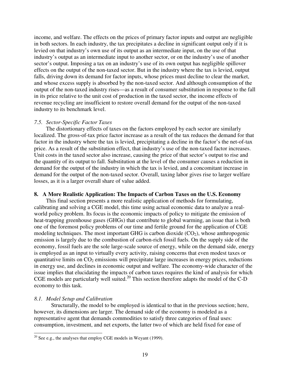income, and welfare. The effects on the prices of primary factor inputs and output are negligible in both sectors. In each industry, the tax precipitates a decline in significant output only if it is levied on that industry's own use of its output as an intermediate input, on the use of that industry's output as an intermediate input to another sector, or on the industry's use of another sector's output. Imposing a tax on an industry's use of its own output has negligible spillover effects on the output of the non-taxed sector. But in the industry where the tax is levied, output falls, driving down its demand for factor inputs, whose prices must decline to clear the market, and whose excess supply is absorbed by the non-taxed sector. And although consumption of the output of the non-taxed industry rises—as a result of consumer substitution in response to the fall in its price relative to the unit cost of production in the taxed sector, the income effects of revenue recycling are insufficient to restore overall demand for the output of the non-taxed industry to its benchmark level.

### *7.5. Sector-Specific Factor Taxes*

The distortionary effects of taxes on the factors employed by each sector are similarly localized. The gross-of-tax price factor increase as a result of the tax reduces the demand for that factor in the industry where the tax is levied, precipitating a decline in the factor's the net-of-tax price. As a result of the substitution effect, that industry's use of the non-taxed factor increases. Unit costs in the taxed sector also increase, causing the price of that sector's output to rise and the quantity of its output to fall. Substitution at the level of the consumer causes a reduction in demand for the output of the industry in which the tax is levied, and a concomitant increase in demand for the output of the non-taxed sector. Overall, taxing labor gives rise to larger welfare losses, as it is a larger overall share of value added.

### **8. A More Realistic Application: The Impacts of Carbon Taxes on the U.S. Economy**

This final section presents a more realistic application of methods for formulating, calibrating and solving a CGE model, this time using actual economic data to analyze a realworld policy problem. Its focus is the economic impacts of policy to mitigate the emission of heat-trapping greenhouse gases (GHGs) that contribute to global warming, an issue that is both one of the foremost policy problems of our time and fertile ground for the application of CGE modeling techniques. The most important GHG is carbon dioxide  $(CO<sub>2</sub>)$ , whose anthropogenic emission is largely due to the combustion of carbon-rich fossil fuels. On the supply side of the economy, fossil fuels are the sole large-scale source of energy, while on the demand side, energy is employed as an input to virtually every activity, raising concerns that even modest taxes or quantitative limits on  $CO<sub>2</sub>$  emissions will precipitate large increases in energy prices, reductions in energy use, and declines in economic output and welfare. The economy-wide character of the issue implies that elucidating the impacts of carbon taxes requires the kind of analysis for which CGE models are particularly well suited.<sup>20</sup> This section therefore adapts the model of the C-D economy to this task.

### *8.1. Model Setup and Calibration*

 $\overline{a}$ 

Structurally, the model to be employed is identical to that in the previous section; here, however, its dimensions are larger. The demand side of the economy is modeled as a representative agent that demands commodities to satisfy three categories of final uses: consumption, investment, and net exports, the latter two of which are held fixed for ease of

<sup>&</sup>lt;sup>20</sup> See e.g., the analyses that employ CGE models in Weyant (1999).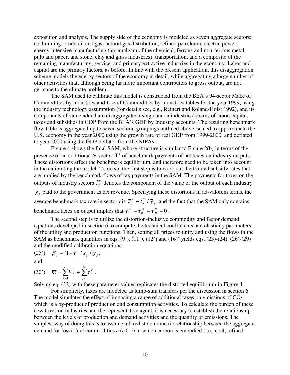exposition and analysis. The supply side of the economy is modeled as seven aggregate sectors: coal mining, crude oil and gas, natural gas distribution, refined petroleum, electric power, energy-intensive manufacturing (an amalgam of the chemical, ferrous and non-ferrous metal, pulp and paper, and stone, clay and glass industries), transportation, and a composite of the remaining manufacturing, service, and primary extractive industries in the economy. Labor and capital are the primary factors, as before. In line with the present application, this disaggregation scheme models the energy sectors of the economy in detail, while aggregating a large number of other activities that, although being far more important contributors to gross output, are not germane to the climate problem.

The SAM used to calibrate this model is constructed from the BEA's 94-sector Make of Commodities by Industries and Use of Commodities by Industries tables for the year 1999, using the industry technology assumption (for details see, e.g., Reinert and Roland-Holst 1992), and its components of value added are disaggregated using data on industries' shares of labor, capital, taxes and subsidies in GDP from the BEA's GDP by Industry accounts. The resulting benchmark flow table is aggregated up to seven sectoral groupings outlined above, scaled to approximate the U.S. economy in the year 2000 using the growth rate of real GDP from 1999-2000, and deflated to year 2000 using the GDP deflator from the NIPAs.

Figure 4 shows the final SAM, whose structure is similar to Figure 2(b) in terms of the presence of an additional *N*-vector  $\overline{T}^Y$  of benchmark payments of net taxes on industry outputs. These distortions affect the benchmark equilibrium, and therefore need to be taken into account in the calibrating the model. To do so, the first step is to work out the tax and subsidy rates that are implied by the benchmark flows of tax payments in the SAM. The payments for taxes on the outputs of industry sectors  $\bar{t}^Y_j$  denotes the component of the value of the output of each industry  $\bar{y}_i$  paid to the government as tax revenue. Specifying these distortions in ad-valorem terms, the average benchmark tax rate in sector *j* is  $\bar{\tau}_j^Y = \bar{t}_j^Y / \bar{y}_j$  $\overline{\tau}_j^Y = \overline{t}_j^Y / \overline{y}_j$ , and the fact that the SAM only contains

*j* benchmark taxes on output implies that  $\overline{\tau}_i^c = \overline{\tau}_{ij}^x = \overline{\tau}_{jj}^v = 0$ *X ij*  $\overline{\tau}_{i}^{C} = \overline{\tau}_{ij}^{X} = \overline{\tau}_{jj}^{V} = 0.$ 

The second step is to utilize the distortion-inclusive commodity and factor demand equations developed in section 6 to compute the technical coefficients and elasticity parameters of the utility and production functions. Then, setting all prices to unity and using the flows in the SAM as benchmark quantities in eqs. (9'), (11'), (12') and (16') yields eqs. (23)-(24), (26)-(29) and the modified calibration equations:

$$
(25') \quad \beta_{ij} = (1 + \overline{\tau}_i^Y) \overline{x}_{ij} / \overline{y}_j,
$$

and

(30') 
$$
\overline{m} = \sum_{f=1}^{F} \overline{V}_f + \sum_{j=1}^{N} \overline{t}_j^Y
$$
.

Solving eq. (22) with these parameter values replicates the distorted equilibrium in Figure 4.

For simplicity, taxes are modeled as lump-sum transfers per the discussion in section 6. The model simulates the effect of imposing a range of additional taxes on emissions of  $CO<sub>2</sub>$ , which is a by-product of production and consumption activities. To calculate the burden of these new taxes on industries and the representative agent, it is necessary to establish the relationship between the levels of production and demand activities and the quantity of emissions. The simplest way of doing this is to assume a fixed stoichiometric relationship between the aggregate demand for fossil fuel commodities  $e(e \subseteq i)$  in which carbon is embodied (i.e., coal, refined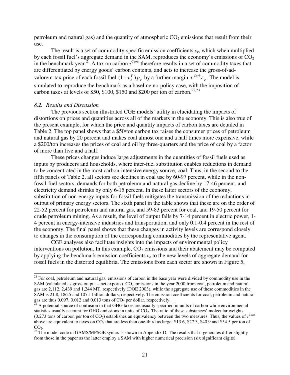petroleum and natural gas) and the quantity of atmospheric  $CO_2$  emissions that result from their use.

The result is a set of commodity-specific emission coefficients *εe*, which when multiplied by each fossil fuel's aggregate demand in the SAM, reproduces the economy's emissions of  $CO<sub>2</sub>$ in the benchmark year.<sup>21</sup> A tax on carbon  $\tau^{Carb}$  therefore results in a set of commodity taxes that are differentiated by energy goods' carbon contents, and acts to increase the gross-of-advalorem-tax price of each fossil fuel  $(1 + \tau_e^Y) p_e$  by a further margin  $\tau_{\text{carb}} \varepsilon_e$ . The model is simulated to reproduce the benchmark as a baseline no-policy case, with the imposition of carbon taxes at levels of \$50, \$100, \$150 and \$200 per ton of carbon.<sup>22,23</sup>

### *8.2. Results and Discussion*

 $\overline{a}$ 

The previous section illustrated CGE models' utility in elucidating the impacts of distortions on prices and quantities across all of the markets in the economy. This is also true of the present example, for which the price and quantity impacts of carbon taxes are detailed in Table 2. The top panel shows that a \$50/ton carbon tax raises the consumer prices of petroleum and natural gas by 20 percent and makes coal almost one and a half times more expensive, while a \$200/ton increases the prices of coal and oil by three-quarters and the price of coal by a factor of more than five and a half.

These prices changes induce large adjustments in the quantities of fossil fuels used as inputs by producers and households, where inter-fuel substitution enables reductions in demand to be concentrated in the most carbon-intensive energy source, coal. Thus, in the second to the fifth panels of Table 2, all sectors see declines in coal use by 60-97 percent, while in the nonfossil-fuel sectors, demands for both petroleum and natural gas decline by 17-46 percent, and electricity demand shrinks by only 6-15 percent. In these latter sectors of the economy, substitution of non-energy inputs for fossil fuels mitigates the transmission of the reductions in output of primary energy sectors. The sixth panel in the table shows that these are on the order of 22-52 percent for petroleum and natural gas, and 59-83 percent for coal, and 19-50 percent for crude petroleum mining. As a result, the level of output falls by 7-14 percent in electric power, 1- 4 percent in energy-intensive industries and transportation, and only 0.1-0.4 percent in the rest of the economy. The final panel shows that these changes in activity levels are correspond closely to changes in the consumption of the corresponding commodities by the representative agent.

CGE analyses also facilitate insights into the impacts of environmental policy interventions on pollution. In this example,  $CO<sub>2</sub>$  emissions and their abatement may be computed by applying the benchmark emission coefficients  $\varepsilon_e$  to the new levels of aggregate demand for fossil fuels in the distorted equilibria. The emissions from each sector are shown in Figure 5,

 $21$  For coal, petroleum and natural gas, emissions of carbon in the base year were divided by commodity use in the SAM (calculated as gross output – net exports).  $CO<sub>2</sub>$  emissions in the year 2000 from coal, petroleum and natural gas are 2,112, 2,439 and 1,244 MT, respectively (DOE 2003), while the aggregate use of these commodities in the SAM is 21.8, 186.5 and 107.1 billion dollars, respectively. The emission coefficients for coal, petroleum and natural gas are thus 0.097, 0.012 and 0.013 tons of  $CO<sub>2</sub>$  per dollar, respectively.<br><sup>22</sup> A potential source of confusion in that GHG taxes are usually specified in units of carbon while environmental

statistics usually account for GHG emissions in units of  $CO<sub>2</sub>$ . The ratio of these substances' molecular weights  $(0.273$  tons of carbon per ton of CO<sub>2</sub>) establishes an equivalency between the two measures. Thus, the values of  $\tau^{Carb}$ above are equivalent to taxes on  $CO<sub>2</sub>$  that are less than one-third as large: \$13.6, \$27.3, \$40.9 and \$54.5 per ton of

 $CO<sub>2</sub>$ .<br><sup>23</sup> The model code in GAMS/MPSGE syntax is shown in Appendix D. The results that it generates differ slightly from those in the paper as the latter employ a SAM with higher numerical precision (six significant digits).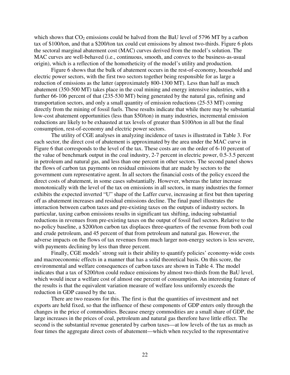which shows that  $CO<sub>2</sub>$  emissions could be halved from the BaU level of 5796 MT by a carbon tax of \$100/ton, and that a \$200/ton tax could cut emissions by almost two-thirds. Figure 6 plots the sectoral marginal abatement cost (MAC) curves derived from the model's solution. The MAC curves are well-behaved (i.e., continuous, smooth, and convex to the business-as-usual origin), which is a reflection of the homotheticity of the model's utility and production.

Figure 6 shows that the bulk of abatement occurs in the rest-of-economy, household and electric power sectors, with the first two sectors together being responsible for as large a reduction of emissions as the latter (approximately 800-1300 MT). Less than half as much abatement (350-500 MT) takes place in the coal mining and energy intensive industries, with a further 66-106 percent of that (235-530 MT) being generated by the natural gas, refining and transportation sectors, and only a small quantity of emission reductions (25-53 MT) coming directly from the mining of fossil fuels. These results indicate that while there may be substantial low-cost abatement opportunities (less than \$50/ton) in many industries, incremental emission reductions are likely to be exhausted at tax levels of greater than \$100/ton in all but the final consumption, rest-of-economy and electric power sectors.

The utility of CGE analyses in analyzing incidence of taxes is illustrated in Table 3. For each sector, the direct cost of abatement is approximated by the area under the MAC curve in Figure 6 that corresponds to the level of the tax. These costs are on the order of 6-10 percent of the value of benchmark output in the coal industry, 2-7 percent in electric power, 0.5-3.5 percent in petroleum and natural gas, and less than one percent in other sectors. The second panel shows the flows of carbon tax payments on residual emissions that are made by sectors to the government cum representative agent. In all sectors the financial costs of the policy exceed the direct costs of abatement, in some cases substantially. However, whereas the latter increase monotonically with the level of the tax on emissions in all sectors, in many industries the former exhibits the expected inverted "U" shape of the Laffer curve, increasing at first but then tapering off as abatement increases and residual emissions decline. The final panel illustrates the interaction between carbon taxes and pre-existing taxes on the outputs of industry sectors. In particular, taxing carbon emissions results in significant tax shifting, inducing substantial reductions in revenues from pre-existing taxes on the output of fossil fuel sectors. Relative to the no-policy baseline, a \$200/ton carbon tax displaces three-quarters of the revenue from both coal and crude petroleum, and 45 percent of that from petroleum and natural gas. However, the adverse impacts on the flows of tax revenues from much larger non-energy sectors is less severe, with payments declining by less than three percent.

Finally, CGE models' strong suit is their ability to quantify policies' economy-wide costs and macroeconomic effects in a manner that has a solid theoretical basis. On this score, the environmental and welfare consequences of carbon taxes are shown in Table 4. The model indicates that a tax of \$200/ton could reduce emissions by almost two-thirds from the BaU level, which would incur a welfare cost of almost one percent of consumption. An interesting feature of the results is that the equivalent variation measure of welfare loss uniformly exceeds the reduction in GDP caused by the tax.

There are two reasons for this. The first is that the quantities of investment and net exports are held fixed, so that the influence of these components of GDP enters only through the changes in the price of commodities. Because energy commodities are a small share of GDP, the large increases in the prices of coal, petroleum and natural gas therefore have little effect. The second is the substantial revenue generated by carbon taxes—at low levels of the tax as much as four times the aggregate direct costs of abatement—which when recycled to the representative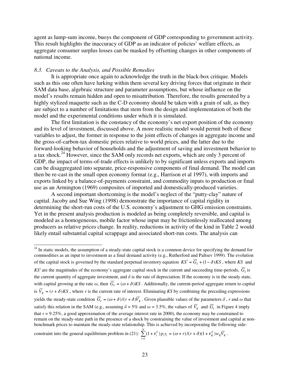agent as lump-sum income, buoys the component of GDP corresponding to government activity. This result highlights the inaccuracy of GDP as an indicator of policies' welfare effects, as aggregate consumer surplus losses can be masked by offsetting changes in other components of national income.

### *8.3. Caveats to the Analysis, and Possible Remedies*

 $\overline{a}$ 

It is appropriate once again to acknowledge the truth in the black-box critique. Models such as this one often have lurking within them several key driving forces that originate in their SAM data base, algebraic structure and parameter assumptions, but whose influence on the model's results remain hidden and open to misattribution. Therefore, the results generated by a highly stylized maquette such as the C-D economy should be taken with a grain of salt, as they are subject to a number of limitations that stem from the design and implementation of both the model and the experimental conditions under which it is simulated.

The first limitation is the constancy of the economy's net export position of the economy and its level of investment, discussed above. A more realistic model would permit both of these variables to adjust, the former in response to the joint effects of changes in aggregate income and the gross-of-carbon-tax domestic prices relative to world prices, and the latter due to the forward-looking behavior of households and the adjustment of saving and investment behavior to a tax shock.<sup>24</sup> However, since the SAM only records net exports, which are only 3 percent of GDP, the impact of terms-of-trade effects is unlikely to by significant unless exports and imports can be disaggregated into separate, price-responsive components of final demand. The model can then be re-cast in the small open economy format (e.g., Harrison et al 1997), with imports and exports linked by a balance-of-payments constraint, and commodity inputs to production or final use as an Armington (1969) composites of imported and domestically-produced varieties.

A second important shortcoming is the model's neglect of the "putty-clay" nature of capital. Jacoby and Sue Wing (1998) demonstrate the importance of capital rigidity in determining the short-run costs of the U.S. economy's adjustment to GHG emission constraints. Yet in the present analysis production is modeled as being completely reversible, and capital is modeled as a homogeneous, mobile factor whose input may be frictionlessly reallocated among producers as relative prices change. In reality, reductions in activity of the kind in Table 2 would likely entail substantial capital scrappage and associated short-run costs. The analysis can

constraint into the general equilibrium problem in (21):  $\sum (1 + \tau_i^Y) p_i s_i = (\omega + r) / (r + \delta) (1 + \tau_K^F) w_K \overline{V}_K$ *N*  $\sum_{i=1}^{n} (1 + \tau_i^Y) p_i s_i = (\omega + r) / (r + \delta) (1 + \tau_K^F) w_K \overline{V}$ .

<sup>&</sup>lt;sup>24</sup> In static models, the assumption of a steady-state capital stock is a common device for specifying the demand for commodities as an input to investment as a final demand activity (e.g., Rutherford and Paltsev 1999). The evolution of the capital stock is governed by the standard perpetual inventory equation  $KS' = \overline{G}_1 + (1 - \delta)KS$ , where *KS* and *KS'* are the magnitudes of the economy's aggregate capital stock in the current and succeeding time-periods,  $\overline{G}_i$  is the current quantity of aggregate investment, and  $\delta$  is the rate of depreciation. If the economy is in the steady state, with capital growing at the rate  $\omega$ , then  $\overline{G}_I = (\omega + \delta)KS$ . Additionally, the current-period aggregate return to capital is  $\overline{V}_K = (r + \delta)KS$ , where *r* is the current rate of interest. Eliminating *KS* by combining the preceding expressions yields the steady-state condition  $\overline{G}_I = (\omega + \delta)/(r + \delta)\overline{V}_K$ . Given plausible values of the parameters  $\delta$ , *r* and  $\omega$  that satisfy this relation in the SAM (e.g., assuming  $\delta = 5\%$  and  $\omega = 3.5\%$ , the values of  $\overline{V}_K$  and  $\overline{G}_I$  in Figure 4 imply that  $r = 9.25\%$ , a good approximation of the average interest rate in 2000), the economy may be constrained to remain on the steady-state path in the presence of a shock by constraining the value of investment and capital at nonbenchmark prices to maintain the steady-state relationship. This is achieved by incorporating the following side-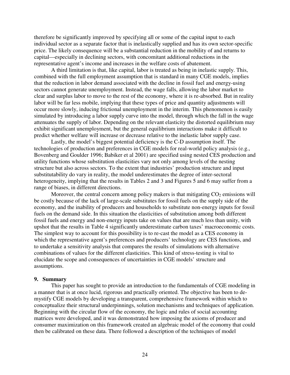therefore be significantly improved by specifying all or some of the capital input to each individual sector as a separate factor that is inelastically supplied and has its own sector-specific price. The likely consequence will be a substantial reduction in the mobility of and returns to capital—especially in declining sectors, with concomitant additional reductions in the representative agent's income and increases in the welfare costs of abatement.

A third limitation is that, like capital, labor is treated as being in inelastic supply. This, combined with the full employment assumption that is standard in many CGE models, implies that the reduction in labor demand associated with the decline in fossil fuel and energy-using sectors cannot generate unemployment. Instead, the wage falls, allowing the labor market to clear and surplus labor to move to the rest of the economy, where it is re-absorbed. But in reality labor will be far less mobile, implying that these types of price and quantity adjustments will occur more slowly, inducing frictional unemployment in the interim. This phenomenon is easily simulated by introducing a labor supply curve into the model, through which the fall in the wage attenuates the supply of labor. Depending on the relevant elasticity the distorted equilibrium may exhibit significant unemployment, but the general equilibrium interactions make it difficult to predict whether welfare will increase or decrease relative to the inelastic labor supply case.

Lastly, the model's biggest potential deficiency is the C-D assumption itself. The technologies of production and preferences in CGE models for real-world policy analysis (e.g., Bovenberg and Goulder 1996; Babiker et al 2001) are specified using nested CES production and utility functions whose substitution elasticities vary not only among levels of the nesting structure but also across sectors. To the extent that industries' production structure and input substitutability do vary in reality, the model underestimates the degree of inter-sectoral heterogeneity, implying that the results in Tables 2 and 3 and Figures 5 and 6 may suffer from a range of biases, in different directions.

Moreover, the central concern among policy makers is that mitigating  $CO<sub>2</sub>$  emissions will be costly because of the lack of large-scale substitutes for fossil fuels on the supply side of the economy, and the inability of producers and households to substitute non-energy inputs for fossil fuels on the demand side. In this situation the elasticities of substitution among both different fossil fuels and energy and non-energy inputs take on values that are much less than unity, with upshot that the results in Table 4 significantly underestimate carbon taxes' macroeconomic costs. The simplest way to account for this possibility is to re-cast the model as a CES economy in which the representative agent's preferences and producers' technology are CES functions, and to undertake a sensitivity analysis that compares the results of simulations with alternative combinations of values for the different elasticities. This kind of stress-testing is vital to elucidate the scope and consequences of uncertainties in CGE models' structure and assumptions.

### **9. Summary**

This paper has sought to provide an introduction to the fundamentals of CGE modeling in a manner that is at once lucid, rigorous and practically oriented. The objective has been to demystify CGE models by developing a transparent, comprehensive framework within which to conceptualize their structural underpinnings, solution mechanisms and techniques of application. Beginning with the circular flow of the economy, the logic and rules of social accounting matrices were developed, and it was demonstrated how imposing the axioms of producer and consumer maximization on this framework created an algebraic model of the economy that could then be calibrated on these data. There followed a description of the techniques of model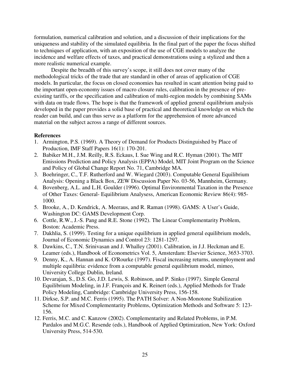formulation, numerical calibration and solution, and a discussion of their implications for the uniqueness and stability of the simulated equilibria. In the final part of the paper the focus shifted to techniques of application, with an exposition of the use of CGE models to analyze the incidence and welfare effects of taxes, and practical demonstrations using a stylized and then a more realistic numerical example.

Despite the breadth of this survey's scope, it still does not cover many of the methodological tricks of the trade that are standard in other of areas of application of CGE models. In particular, the focus on closed economies has resulted in scant attention being paid to the important open-economy issues of macro closure rules, calibration in the presence of preexisting tariffs, or the specification and calibration of multi-region models by combining SAMs with data on trade flows. The hope is that the framework of applied general equilibrium analysis developed in the paper provides a solid base of practical and theoretical knowledge on which the reader can build, and can thus serve as a platform for the apprehension of more advanced material on the subject across a range of different sources.

### **References**

- 1. Armington, P.S. (1969). A Theory of Demand for Products Distinguished by Place of Production, IMF Staff Papers 16(1): 170-201.
- 2. Babiker M.H., J.M. Reilly, R.S. Eckaus, I. Sue Wing and R.C. Hyman (2001). The MIT Emissions Prediction and Policy Analysis (EPPA) Model, MIT Joint Program on the Science and Policy of Global Change Report No. 71, Cambridge MA.
- 3. Boehringer, C., T.F. Rutherford and W. Wiegard (2003). Computable General Equilibrium Analysis: Opening a Black Box, ZEW Discussion Paper No. 03-56, Mannheim, Germany.
- 4. Bovenberg, A.L. and L.H. Goulder (1996). Optimal Environmental Taxation in the Presence of Other Taxes: General- Equilibrium Analysess, American Economic Review 86(4): 985- 1000.
- 5. Brooke, A., D. Kendrick, A. Meeraus, and R. Raman (1998). GAMS: A User's Guide, Washington DC: GAMS Development Corp.
- 6. Cottle, R.W., J.-S. Pang and R.E. Stone (1992). The Linear Complementarity Problem, Boston: Academic Press.
- 7. Dakhlia, S. (1999). Testing for a unique equilibrium in applied general equilibrium models, Journal of Economic Dynamics and Control 23: 1281-1297.
- 8. Dawkins, C., T.N. Srinivasan and J. Whalley (2001). Calibration, in J.J. Heckman and E. Leamer (eds.), Handbook of Econometrics Vol. 5, Amsterdam: Elsevier Science, 3653-3703.
- 9. Denny, K., A. Hannan and K. O'Rourke (1997). Fiscal increasing returns, unemployment and multiple equilibria: evidence from a computable general equilibrium model, mimeo, University College Dublin, Ireland.
- 10. Devarajan, S., D.S. Go, J.D. Lewis, S. Robinson, and P. Sinko (1997). Simple General Equilibrium Modeling, in J.F. François and K. Reinert (eds.), Applied Methods for Trade Policy Modeling, Cambridge: Cambridge University Press, 156-158.
- 11. Dirkse, S.P. and M.C. Ferris (1995). The PATH Solver: A Non-Monotone Stabilization Scheme for Mixed Complementarity Problems, Optimization Methods and Software 5: 123- 156.
- 12. Ferris, M.C. and C. Kanzow (2002). Complementarity and Related Problems, in P.M. Pardalos and M.G.C. Resende (eds.), Handbook of Applied Optimization, New York: Oxford University Press, 514-530.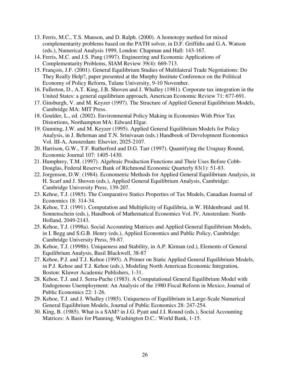- 13. Ferris, M.C., T.S. Munson, and D. Ralph. (2000). A homotopy method for mixed complementarity problems based on the PATH solver, in D.F. Griffiths and G.A. Watson (eds.), Numerical Analysis 1999, London: Chapman and Hall: 143-167.
- 14. Ferris, M.C. and J.S. Pang (1997). Engineering and Economic Applications of Complementarity Problems, SIAM Review 39(4): 669-713.
- 15. François, J.F. (2001). General Equilibrium Studies of Multilateral Trade Negotiations: Do They Really Help?, paper presented at the Murphy Institute Conference on the Political Economy of Policy Reform, Tulane University, 9-10 November.
- 16. Fullerton, D., A.T. King, J.B. Shoven and J. Whalley (1981). Corporate tax integration in the United States: a general equilibrium approach, American Economic Review 71: 677-691.
- 17. Ginsburgh, V. and M. Keyzer (1997). The Structure of Applied General Equilibrium Models, Cambridge MA: MIT Press.
- 18. Goulder, L., ed. (2002). Environmental Policy Making in Economies With Prior Tax Distortions, Northampton MA: Edward Elgar.
- 19. Gunning, J.W. and M. Keyzer (1995). Applied General Equilibrium Models for Policy Analysis, in J. Behrman and T.N. Srinivasan (eds.) Handbook of Development Economics Vol. III-A, Amsterdam: Elsevier, 2025-2107.
- 20. Harrison, G.W., T.F. Rutherford and D.G. Tarr (1997). Quantifying the Uruguay Round, Economic Journal 107: 1405-1430.
- 21. Humphrey, T.M. (1997). Algebraic Production Functions and Their Uses Before Cobb-Douglas, Federal Reserve Bank of Richmond Economic Quarterly 83(1): 51-83.
- 22. Jorgenson, D.W. (1984). Econometric Methods for Applied General Equilibrium Analysis, in H. Scarf and J. Shoven (eds.), Applied General Equilibrium Analysis, Cambridge: Cambridge University Press, 139-207.
- 23. Kehoe, T.J. (1985). The Comparative Statics Properties of Tax Models, Canadian Journal of Economics 18: 314-34.
- 24. Kehoe, T.J. (1991). Computation and Multiplicity of Equilibria, in W. Hildenbrand and H. Sonnenschein (eds.), Handbook of Mathematical Economics Vol. IV, Amsterdam: North-Holland, 2049-2143.
- 25. Kehoe, T.J. (1998a). Social Accounting Matrices and Applied General Equilibrium Models, in I. Begg and S.G.B. Henry (eds.), Applied Economics and Public Policy, Cambridge: Cambridge University Press, 59-87.
- 26. Kehoe, T.J. (1998b). Uniqueness and Stability, in A.P. Kirman (ed.), Elements of General Equilibrium Analysis, Basil Blackwell, 38-87
- 27. Kehoe, P.J. and T.J. Kehoe (1995). A Primer on Static Applied General Equilibrium Models, in P.J. Kehoe and T.J. Kehoe (eds.), Modeling North American Economic Integration, Boston: Kluwer Academic Publishers, 1-31.
- 28. Kehoe, T.J. and J. Serra-Puche (1983). A Computational General Equilibrium Model with Endogenous Unemployment: An Analysis of the 1980 Fiscal Reform in Mexico, Journal of Public Economics 22: 1-26.
- 29. Kehoe, T.J. and J. Whalley (1985). Uniqueness of Equilibrium in Large-Scale Numerical General Equilibrium Models, Journal of Public Economics 28: 247-254.
- 30. King, B. (1985). What is a SAM? in J.G. Pyatt and J.I. Round (eds.), Social Accounting Matrices: A Basis for Planning, Washington D.C.: World Bank, 1-15.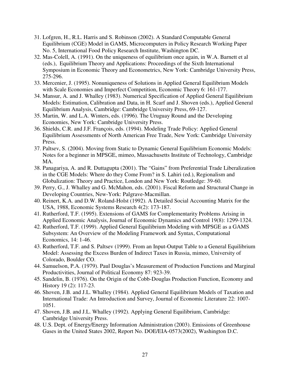- 31. Lofgren, H., R.L. Harris and S. Robinson (2002). A Standard Computable General Equilibrium (CGE) Model in GAMS, Microcomputers in Policy Research Working Paper No. 5, International Food Policy Research Institute, Washington DC.
- 32. Mas-Colell, A. (1991). On the uniqueness of equilibrium once again, in W.A. Barnett et al (eds.), Equilibrium Theory and Applications: Proceedings of the Sixth International Symposium in Economic Theory and Econometrics, New York: Cambridge University Press, 275-296.
- 33. Mercenier, J. (1995). Nonuniqueness of Solutions in Applied General Equilibrium Models with Scale Economies and Imperfect Competition, Economic Theory 6: 161-177.
- 34. Mansur, A. and J. Whalley (1983). Numerical Specification of Applied General Equilibrium Models: Estimation, Calibration and Data, in H. Scarf and J. Shoven (eds.), Applied General Equilibrium Analysis, Cambridge: Cambridge University Press, 69-127.
- 35. Martin, W. and L.A. Winters, eds. (1996). The Uruguay Round and the Developing Economies, New York: Cambridge University Press.
- 36. Shields, C.R. and J.F. François, eds. (1994). Modeling Trade Policy: Applied General Equilibrium Assessments of North American Free Trade, New York: Cambridge University Press.
- 37. Paltsev, S. (2004). Moving from Static to Dynamic General Equilibrium Economic Models: Notes for a beginner in MPSGE, mimeo, Massachusetts Institute of Technology, Cambridge MA.
- 38. Panagariya, A. and R. Duttagupta (2001). The "Gains" from Preferential Trade Liberalization in the CGE Models: Where do they Come From? in S. Lahiri (ed.), Regionalism and Globalization: Theory and Practice, London and New York: Routledge: 39-60.
- 39. Perry, G., J. Whalley and G. McMahon, eds. (2001). Fiscal Reform and Structural Change in Developing Countries, New-York: Palgrave-Macmillan.
- 40. Reinert, K.A. and D.W. Roland-Holst (1992). A Detailed Social Accounting Matrix for the USA, 1988, Economic Systems Research 4(2): 173-187.
- 41. Rutherford, T.F. (1995). Extensions of GAMS for Complementarity Problems Arising in Applied Economic Analysis, Journal of Economic Dynamics and Control 19(8): 1299-1324.
- 42. Rutherford, T.F. (1999). Applied General Equilibrium Modeling with MPSGE as a GAMS Subsystem: An Overview of the Modeling Framework and Syntax, Computational Economics, 14: 1-46.
- 43. Rutherford, T.F. and S. Paltsev (1999). From an Input-Output Table to a General Equilibrium Model: Assessing the Excess Burden of Indirect Taxes in Russia, mimeo, University of Colorado, Boulder CO.
- 44. Samuelson, P.A. (1979). Paul Douglas's Measurement of Production Functions and Marginal Productivities, Journal of Political Economy 87: 923-39.
- 45. Sandelin, B. (1976). On the Origin of the Cobb-Douglas Production Function, Economy and History 19 (2): 117-23.
- 46. Shoven, J.B. and J.L. Whalley (1984). Applied General Equilibrium Models of Taxation and International Trade: An Introduction and Survey, Journal of Economic Literature 22: 1007- 1051.
- 47. Shoven, J.B. and J.L. Whalley (1992). Applying General Equilibrium, Cambridge: Cambridge University Press.
- 48. U.S. Dept. of Energy/Energy Information Administration (2003). Emissions of Greenhouse Gases in the United States 2002, Report No. DOE/EIA-0573(2002), Washington D.C.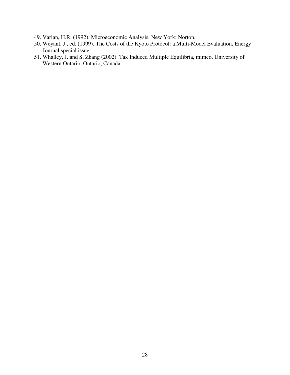- 49. Varian, H.R. (1992). Microeconomic Analysis, New York: Norton.
- 50. Weyant, J., ed. (1999). The Costs of the Kyoto Protocol: a Multi-Model Evaluation, Energy Journal special issue.
- 51. Whalley, J. and S. Zhang (2002). Tax Induced Multiple Equilibria, mimeo, University of Western Ontario, Ontario, Canada.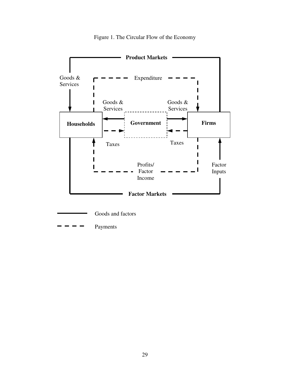

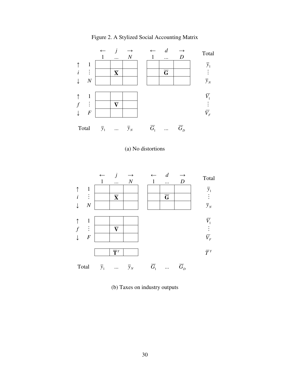

Figure 2. A Stylized Social Accounting Matrix

### (a) No distortions



(b) Taxes on industry outputs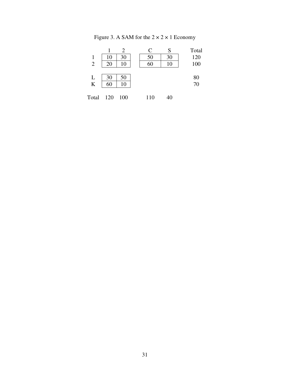| Figure 3. A SAM for the $2 \times 2 \times 1$ Economy |
|-------------------------------------------------------|
|-------------------------------------------------------|

|                         |    |    | $\mathcal{C}$ | S  | Total    |
|-------------------------|----|----|---------------|----|----------|
|                         | 10 | 30 | 50            | 30 | 120      |
| $\overline{2}$          | 20 | 10 | 60            | 10 | 100      |
|                         |    |    |               |    |          |
| L                       | 30 | 50 |               |    |          |
| $\overline{\mathbf{K}}$ | 60 | 10 |               |    | 80<br>70 |
|                         |    |    |               |    |          |

| Total<br>120<br>110<br><b>100</b> | 40 |
|-----------------------------------|----|
|-----------------------------------|----|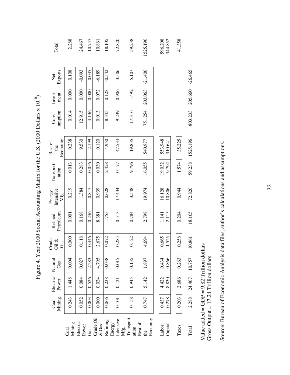| Coal | Mining<br>Coal | Electric<br>Power                                                                   | Natural<br>Gas | Crude<br>Oil $\&$<br>Gas | Petroleum<br>Refined | Intensive<br>Energy<br>Mfg. | Transport-<br>ation | Economy<br>Rest of<br>the | umption<br>Cons- | Invest-<br>ment | Exports<br>Net | Total    |
|------|----------------|-------------------------------------------------------------------------------------|----------------|--------------------------|----------------------|-----------------------------|---------------------|---------------------------|------------------|-----------------|----------------|----------|
|      | 0.243          | 1.448                                                                               | 0.004          | 0.000                    | 0.001                | 0.219                       | 0.013               | 0.238                     | 0.014            | 0.000           | 0.108          | 2.288    |
|      | 0.052          | 0.084                                                                               | 0.027          | 0.118                    | 0.168                | 1.384                       | 0.283               | 9.530                     | 12.915           | 0.000           | $-0.093$       | 24.467   |
|      | 0.003          | 0.526                                                                               | 2.283          | 0.446                    | 0.246                | 0.817                       | 0.056               | 2.199                     | 4.136            | 0.000           | 0.045          | 10.757   |
|      | 0.000          | 0.024                                                                               | 4.795          | 2.675                    | 8.381                | 0.939                       | 0.030               | 0.120                     | 0.013            | 0.072           | $-6.189$       | 10.861   |
|      | 0.066          | 0.238                                                                               | 0.038          | 0.072                    | 1.753                | 0.628                       | 2.428               | 4.950                     | 8.345            | 0.128           | $-0.542$       | 18.105   |
|      | 0.101          | 0.121                                                                               | 0.015          | 0.285                    | 0.513                | 17.434                      | 0.177               | 47.534                    | 9.239            | 0.906           | $-3.506$       | 72.820   |
|      | 0.158          | 0.945                                                                               | 0.135          | 0.122                    | 0.784                | 3.548                       | 9.796               | 19.835                    | 17.316           | 1.492           | 5.107          | 59.238   |
|      | 0.747          | 5.142                                                                               | 1.897          | 4.694                    | 2.798                | 19.974                      | 16.055              | 540.977                   | 751.254          | 203.063         | $-21.406$      | 1525.196 |
|      | 0.437          | 4.422                                                                               | 0.434          | 0.665                    | 141                  | 16.128                      | 19.032              | 553.948                   |                  |                 |                | 596.208  |
|      | 0.278          | 8.830                                                                               | 0.866          | 1.525                    | 2.115                | 10.806                      | 9.792               | 310.641                   |                  |                 |                | 344.852  |
|      | 0.203          | 2.686                                                                               | 0.263          | 0.258                    | 0.204                | 0.944                       | 1.574               | 35.225                    |                  |                 |                | 41.358   |
|      | 2.288          | 24.467                                                                              | 10.757         | 10.861                   | 18.105               | 72.820                      | 59.238              | 1525.196                  | 803.233          | 205.660         | $-26.465$      |          |
|      |                | Value added = GDP = $9.82$ Trillion doll<br>Gross Output = $17.24$ Trillion dollars |                | ars                      |                      |                             |                     |                           |                  |                 |                |          |

Source: Bureau of Economic Analysis data files; author's calculations and assumptions. Source: Bureau of Economic Analysis data files; author's calculations and assumptions.

# Figure 4. Year 2000 Social Accounting Matrix for the U.S. (2000 Dollars × 10<sup>10</sup>) Figure 4. Year 2000 Social Accounting Matrix for the U.S. (2000 Dollars × 10<sup>10</sup>)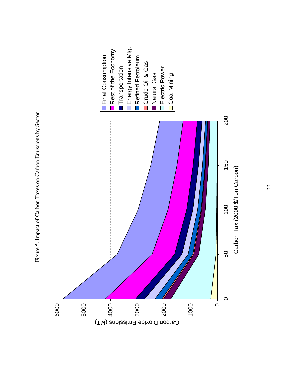

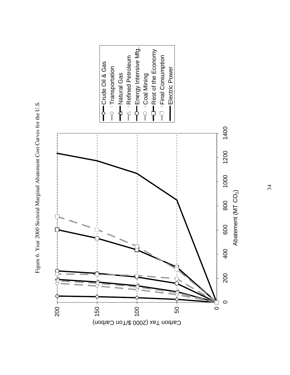

Figure 6. Year 2000 Sectoral Marginal Abatement Cost Curves for the U.S. Figure 6. Year 2000 Sectoral Marginal Abatement Cost Curves for the U.S.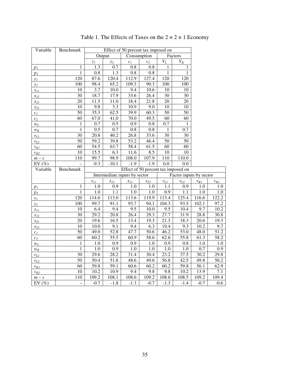| Variable                  | Benchmark       |                   |                               |                                     |                                                    |                 |                         |                   |                                                                                     |
|---------------------------|-----------------|-------------------|-------------------------------|-------------------------------------|----------------------------------------------------|-----------------|-------------------------|-------------------|-------------------------------------------------------------------------------------|
|                           |                 |                   | Output                        |                                     | Effect of 50 percent tax imposed on<br>Consumption |                 | Factors                 |                   |                                                                                     |
|                           |                 | $y_I$             | $y_2$                         | c <sub>I</sub>                      | c <sub>2</sub>                                     | $V_L$           | $V_K$                   |                   |                                                                                     |
| p <sub>I</sub>            | 1               | 1.3               | 0.7                           | 0.8                                 | 0.8                                                | 1               | 1                       |                   |                                                                                     |
| $p_2$                     | 1               | 0.8               | 1.3                           | 0.8                                 | 0.8                                                | 1               | 1                       |                   |                                                                                     |
| $y_I$                     | 120             | 87.6              | 120.4                         | 112.9                               | 127.4                                              | 120             | 120                     |                   |                                                                                     |
| $y_2$                     | 100             | 98.4              | 65.2                          | 109.3                               | 90.3                                               | 100             | 100                     |                   |                                                                                     |
| $x_{II}$                  | 10              | $\overline{3.7}$  | 10.0                          | $\overline{9.4}$                    | 10.6                                               | 10              | 10                      |                   |                                                                                     |
| $x_{12}$                  | 30              | 18.7              | 17.9                          | 33.6                                | 26.4                                               | 30              | 30                      |                   |                                                                                     |
| $x_{21}$                  | $\overline{20}$ | 11.5              | 11.0                          | 18.4                                | 21.8                                               | 20              | 20                      |                   |                                                                                     |
| $x_{22}$                  | 10              | 9.8               | 3.3                           | 10.9                                | 9.0                                                | 10              | 10                      |                   |                                                                                     |
| $c_I$                     | 50              | 35.3              | 62.5                          | 39.9                                | 60.3                                               | 50              | 50                      |                   |                                                                                     |
| $c_2$                     | 60              | 67.0              | 41.0                          | 70.0                                | 49.5                                               | 60              | 60                      |                   |                                                                                     |
| $\mathcal{W}_{L}$         | 1               | 0.7               | 0.5                           | 0.9                                 | 0.8                                                | 0.7             | 1                       |                   |                                                                                     |
| $W_K$                     | $\mathbf{1}$    | 0.5               | 0.7                           | 0.8                                 | $0.8\,$                                            | $\mathbf{1}$    | 0.7                     |                   |                                                                                     |
| $\nu_{LI}$                | 30              | 20.8              | 40.2                          | 26.8                                | 33.6                                               | 30              | 30                      |                   |                                                                                     |
| $v_{L2}$                  | $\overline{50}$ | $\overline{59.2}$ | 39.8                          | 53.2                                | 46.4                                               | 50              | 50                      |                   |                                                                                     |
| $v_{KI}$                  | 60              | 54.5              | 63.7                          | 58.4                                | 61.5                                               | 60              | 60                      |                   |                                                                                     |
| $\nu_{K2}$                | $\overline{10}$ | $\overline{15.5}$ | 6.3                           | 11.6                                | 8.5                                                | 10              | 10                      |                   |                                                                                     |
| $m-\sqrt{s}$              | 110             | 99.7              | 98.9                          | 108.0                               | 107.9                                              | 110             | 110.0                   |                   |                                                                                     |
| EV $(\% )$                |                 | $-9.3$            | $-10.1$                       | $-1.9$                              | $-1.9$                                             | 0.0             | 0.0                     |                   |                                                                                     |
|                           |                 |                   |                               |                                     |                                                    |                 |                         |                   |                                                                                     |
| Variable                  | Benchmark       |                   |                               | Effect of 50 percent tax imposed on |                                                    |                 |                         |                   |                                                                                     |
|                           |                 |                   | Intermediate inputs by sector |                                     |                                                    |                 | Factor inputs by sector |                   |                                                                                     |
|                           |                 | $x_{11}$          | $x_{12}$                      | $x_{21}$                            | $x_{22}$                                           | $v_{LI}$        | $v_{L2}$                |                   |                                                                                     |
| $p_I$                     | 1               | $1.0\,$           | 0.9                           | 1.0                                 | $1.0\,$                                            | 1.1             | 0.9                     | $\nu_{Kl}$<br>1.0 | $\nu_{K2}$                                                                          |
| $p_2$                     | $\mathbf{1}$    | $1.0\,$           | 1.1                           | $1.0\,$                             | $1.0\,$                                            | 0.9             | 1.1                     | 1.0               |                                                                                     |
| $y_I$                     | 120             | 114.6             | 113.0                         | 113.6                               | 119.9                                              | 113.4           | 125.4                   | 116.6             |                                                                                     |
|                           | 100             | 99.7              | 91.1                          | 93.7                                | 94.1                                               | 104.3           | 93.5                    | 102.1             |                                                                                     |
| $y_2$<br>$x_{11}$         | 10              | 6.4               | 9.4                           | 9.5                                 | 10.0                                               | 9.5             | 10.4                    | 9.7               |                                                                                     |
| $x_{12}$                  | 30              | 29.2              | 20.8                          | 26.4                                | 29.3                                               | 27.7            | 31.9                    | 28.8              |                                                                                     |
| $x_{21}$                  | 20              | 19.6              | 16.5                          | 13.4                                | 19.3                                               | 21.3            | 18.3                    | 20.6              |                                                                                     |
| $x_{22}$                  | 10              | 10.0              | 9.1                           | 9.4                                 | 6.3                                                | 10.4            | 9.3                     | 10.2              |                                                                                     |
| $c_I$                     | 50              | 49.0              | 52.8                          | 47.7                                | 50.6                                               | 46.2            | 53.0                    | 48.0              | 1.0<br>$1.0\,$<br>122.2<br>97.2<br>10.2<br>30.8<br>19.3<br>9.7<br>$\overline{5}1.2$ |
| $c_2$                     | 60              | 60.2              | 55.5                          | 60.9                                | 58.6                                               | 62.6            | 55.8                    | 61.3              |                                                                                     |
| $W_L$                     | $\mathbf{1}$    | 1.0               | 0.9                           | 0.9                                 | $1.0\,$                                            | 0.9             | 0.8                     | 1.0               |                                                                                     |
| $W_K$                     | $\mathbf{1}$    | 1.0               | 0.9                           | 1.0                                 | 1.0                                                | $1.0\,$         | 1.0                     | 0.7               |                                                                                     |
| $v_{LI}$                  | $\overline{30}$ | 29.6              | 28.2                          | 31.4                                | 30.4                                               | 23.2            | 37.5                    | 30.2              |                                                                                     |
| $v_{L2}$                  | $\overline{50}$ | 50.4              | 51.8                          | 48.6                                | 49.6                                               | 56.8            | 42.5                    | 49.8              | 58.2<br>1.0<br>0.9<br>29.8<br>50.2                                                  |
| $\nu_{KI}$                | 60              | 59.8              | 59.1                          | 60.6                                | 60.2                                               | 60.2            | 59.8                    | 56.1              | 62.9                                                                                |
| $v_{K2}$                  | 10              | 10.2              | 10.9                          | 9.4                                 | 9.8                                                | 9.8             | 10.2                    | 13.9              | 7.1                                                                                 |
| $m-\sqrt{s}$<br>EV $(\%)$ | 110             | 109.2<br>$-0.7$   | 108.1<br>$-1.8$               | 108.6<br>$-1.3$                     | 109.2<br>$-0.7$                                    | 108.6<br>$-1.3$ | 108.5<br>$-1.4$         | 109.2<br>$-0.7$   | 109.4<br>$-0.6$                                                                     |

Table 1. The Effects of Taxes on the  $2 \times 2 \times 1$  Economy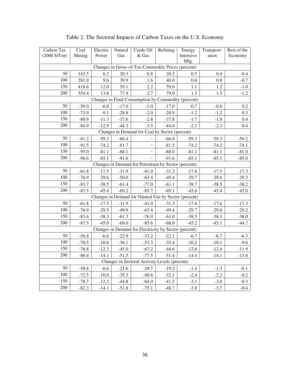| Carbon Tax                                            | Coal    | Electric | Natural | Crude Oil                                             | Refining | Energy    | Transport- | Rest of the |  |  |
|-------------------------------------------------------|---------|----------|---------|-------------------------------------------------------|----------|-----------|------------|-------------|--|--|
| $(2000 \frac{5}{T} \text{on})$                        | Mining  | Power    | Gas     | & Gas                                                 |          | Intensive | ation      | Economy     |  |  |
|                                                       |         |          |         | Changes in Gross-of-Tax Commodity Prices (percent)    |          | Mfg.      |            |             |  |  |
|                                                       |         |          |         |                                                       |          |           |            |             |  |  |
| 50<br>100                                             | 143.5   | 6.2      | 20.3    | 0.8                                                   | 20.2     | 0.5       | 0.4        | $-0.4$      |  |  |
|                                                       | 281.9   | 9.6      | 39.9    | 1.6                                                   | 40.0     | 0.8       | 0.8        | $-0.7$      |  |  |
| 150                                                   | 418.6   | 12.0     | 59.1    | 2.2                                                   | 59.6     | 1.1       | $1.2\,$    | $-1.0$      |  |  |
| 200                                                   | 554.4   | 13.8     | 77.9    | 2.7                                                   | 79.0     | 1.3       | 1.5        | $-1.2$      |  |  |
|                                                       |         |          |         | Changes in Final Consumption by Commodity (percent)   |          |           |            |             |  |  |
| 50                                                    | $-59.0$ | $-6.0$   | $-17.0$ | $-1.0$                                                | $-17.0$  | $-0.7$    | $-0.6$     | 0.2         |  |  |
| 100                                                   | $-73.9$ | $-9.1$   | $-28.8$ | $-2.0$                                                | $-28.9$  | $-1.2$    | $-1.2$     | 0.3         |  |  |
| 150                                                   | $-80.9$ | $-11.3$  | $-37.6$ | $-2.8$                                                | $-37.8$  | $-1.7$    | $-1.8$     | 0.4         |  |  |
| 200                                                   | $-84.9$ | $-12.9$  | $-44.3$ | $-3.5$                                                | $-44.6$  | $-2.1$    | $-2.3$     | 0.4         |  |  |
|                                                       |         |          |         | Changes in Demand for Coal by Sector (percent)        |          |           |            |             |  |  |
| 50                                                    | $-81.2$ | $-59.3$  | $-66.4$ |                                                       | $-66.0$  | $-59.3$   | $-59.3$    | $-59.2$     |  |  |
| 100                                                   | $-91.5$ | $-74.2$  | $-81.7$ |                                                       | $-81.5$  | $-74.2$   | $-74.2$    | $-74.1$     |  |  |
| 150                                                   | $-95.0$ | $-81.1$  | $-88.1$ |                                                       | $-88.0$  | $-81.1$   | $-81.1$    | $-81.0$     |  |  |
| 200                                                   | $-96.6$ | $-85.1$  | $-91.6$ |                                                       | $-91.6$  | $-85.1$   | $-85.1$    | $-85.0$     |  |  |
|                                                       |         |          |         | Changes in Demand for Petroleum by Sector (percent)   |          |           |            |             |  |  |
| 50                                                    | $-61.8$ | $-17.5$  | $-31.9$ | $-41.0$                                               | $-31.2$  | $-17.6$   | $-17.5$    | $-17.3$     |  |  |
| 100                                                   | $-76.9$ | $-29.6$  | $-50.0$ | $-63.4$                                               | $-49.4$  | $-29.7$   | $-29.6$    | $-29.3$     |  |  |
| 150                                                   | $-83.7$ | $-38.5$  | $-61.4$ | $-77.0$                                               | $-61.1$  | $-38.7$   | $-38.5$    | $-38.2$     |  |  |
| 200                                                   | $-87.5$ | $-45.4$  | $-69.2$ | $-85.7$                                               | $-69.1$  | $-45.6$   | $-45.4$    | $-45.0$     |  |  |
|                                                       |         |          |         | Changes in Demand for Natural Gas by Sector (percent) |          |           |            |             |  |  |
| 50                                                    | $-61.8$ | $-17.5$  | $-31.9$ | $-41.0$                                               | $-31.3$  | $-17.6$   | $-17.6$    | $-17.3$     |  |  |
| 100                                                   | $-76.9$ | $-29.5$  | $-49.9$ | $-63.4$                                               | $-49.4$  | $-29.7$   | $-29.6$    | $-29.2$     |  |  |
| 150                                                   | $-83.6$ | $-38.3$  | $-61.3$ | $-76.9$                                               | $-61.0$  | $-38.5$   | $-38.3$    | $-38.0$     |  |  |
| 200                                                   | $-87.5$ | $-45.0$  | $-69.0$ | $-85.6$                                               | $-68.9$  | $-45.2$   | $-45.1$    | $-44.7$     |  |  |
| Changes in Demand for Electricity by Sector (percent) |         |          |         |                                                       |          |           |            |             |  |  |
| 50                                                    | $-56.8$ | $-6.6$   | $-22.9$ | $-33.2$                                               | $-22.1$  | $-6.7$    | $-6.7$     | $-6.3$      |  |  |
| 100                                                   | $-70.5$ | $-10.0$  | $-36.1$ | $-53.3$                                               | $-35.4$  | $-10.2$   | $-10.1$    | $-9.6$      |  |  |
| 150                                                   | $-76.8$ | $-12.3$  | $-45.0$ | $-67.2$                                               | $-44.6$  | $-12.6$   | $-12.4$    | $-11.9$     |  |  |
| 200                                                   | $-80.4$ | $-14.1$  | $-51.5$ | $-77.5$                                               | $-51.4$  | $-14.4$   | $-14.1$    | $-13.6$     |  |  |
|                                                       |         |          |         | Changes in Sectoral Activity Levels (percent)         |          |           |            |             |  |  |
| 50                                                    | $-58.8$ | $-6.6$   | $-21.6$ | $-29.7$                                               | $-19.2$  | $-1.4$    | $-1.3$     | $-0.1$      |  |  |
| 100                                                   | $-72.5$ | $-10.0$  | $-35.3$ | $-49.6$                                               | $-32.1$  | $-2.4$    | $-2.2$     | $-0.2$      |  |  |
| 150                                                   | $-78.7$ | $-12.3$  | $-44.8$ | $-64.0$                                               | $-41.5$  | $-3.1$    | $-3.0$     | $-0.3$      |  |  |
| 200                                                   | $-82.3$ | $-14.1$  | $-51.8$ | $-75.1$                                               | $-48.7$  | $-3.8$    | $-3.7$     | $-0.4$      |  |  |

Table 2. The Sectoral Impacts of Carbon Taxes on the U.S. Economy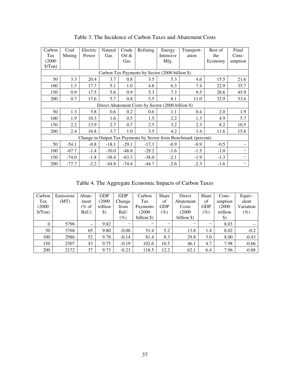| Carbon                                                           | Coal                                               | Electric | Natural | Crude    | Refining | Energy    | Transport- | Rest of | Final   |  |  |  |
|------------------------------------------------------------------|----------------------------------------------------|----------|---------|----------|----------|-----------|------------|---------|---------|--|--|--|
| Tax                                                              | Mining                                             | Power    | Gas     | Oil $\&$ |          | Intensive | ation      | the     | $Cons-$ |  |  |  |
| (2000)                                                           |                                                    |          |         | Gas      |          | Mfg.      |            | Economy | umption |  |  |  |
| $\sqrt{\text{Top}}$                                              |                                                    |          |         |          |          |           |            |         |         |  |  |  |
|                                                                  | Carbon Tax Payments by Sector (2000 billion \$)    |          |         |          |          |           |            |         |         |  |  |  |
| 50                                                               | 3.3                                                | 20.4     | 3.7     | 0.8      | 3.5      | 5.3       | 4.6        | 15.5    | 21.6    |  |  |  |
| 100                                                              | 1.3                                                | 17.7     | 5.1     | 1.0      | 4.8      | 6.3       | 7.4        | 22.9    | 35.7    |  |  |  |
| 150                                                              | 0.9                                                | 17.5     | 5.6     | 0.9      | 5.3      | 7.3       | 9.5        | 28.6    | 45.9    |  |  |  |
| 200                                                              | 0.7                                                | 17.6     | 5.7     | 0.8      | 5.5      | 8.1       | 11.0       | 32.9    | 53.6    |  |  |  |
|                                                                  | Direct Abatement Costs by Sector (2000 billion \$) |          |         |          |          |           |            |         |         |  |  |  |
| 50                                                               | 1.3                                                | 5.8      | 0.6     | 0.2      | 0.6      | 1.1       | 0.4        | 2.0     | 1.9     |  |  |  |
| 100                                                              | 1.9                                                | 10.3     | 1.6     | 0.5      | 1.5      | 2.2       | 1.3        | 4.9     | 5.7     |  |  |  |
| 150                                                              | 2.2                                                | 13.9     | 2.7     | 0.7      | 2.5      | 3.2       | 2.3        | 8.2     | 10.5    |  |  |  |
| 200                                                              | 2.4                                                | 16.8     | 3.7     | 1.0      | 3.5      | 4.2       | 3.4        | 11.6    | 15.6    |  |  |  |
| Change in Output Tax Payments by Sector from Benchmark (percent) |                                                    |          |         |          |          |           |            |         |         |  |  |  |
| 50                                                               | $-54.1$                                            | $-0.8$   | $-18.1$ | $-29.1$  | $-17.3$  | $-0.9$    | $-0.9$     | $-0.5$  |         |  |  |  |
| 100                                                              | $-67.7$                                            | $-1.4$   | $-30.0$ | $-48.8$  | $-29.2$  | $-1.6$    | $-1.5$     | $-1.0$  |         |  |  |  |
| 150                                                              | $-74.0$                                            | $-1.8$   | $-38.4$ | $-63.3$  | $-38.0$  | $-2.1$    | $-1.9$     | $-1.3$  |         |  |  |  |
| 200                                                              | $-77.7$                                            | $-2.2$   | $-44.8$ | $-74.4$  | $-44.7$  | $-2.6$    | $-2.3$     | $-1.6$  |         |  |  |  |

Table 3. The Incidence of Carbon Taxes and Abatement Costs

Table 4. The Aggregate Economic Impacts of Carbon Taxes

| Carbon        | Emissions | Abate-                   | GDP           | <b>GDP</b>               | Carbon                   | Share           | Direct                   | <b>Share</b>             | Cons-              | Equiv-    |
|---------------|-----------|--------------------------|---------------|--------------------------|--------------------------|-----------------|--------------------------|--------------------------|--------------------|-----------|
| Tax           | (MT)      | ment                     | (2000)        | Change                   | Tax                      | of              | Abatement                | of                       | umption            | alent     |
| (2000)        |           | (% of                    | trillion      | from                     | Payments                 | <b>GDP</b>      | Costs                    | <b>GDP</b>               | (2000)             | Variation |
| $\sqrt{\tan}$ |           | BaU)                     | $\mathcal{S}$ | BaU                      | (2000)                   | $\mathscr{C}_0$ | (2000)                   | $(\%)$                   | trillion           | $(\%)$    |
|               |           |                          |               | $(\%)$                   | billion \$)              |                 | billion \$)              |                          | $\boldsymbol{\$})$ |           |
| $\Omega$      | 5796      | $\overline{\phantom{0}}$ | 9.82          | $\overline{\phantom{0}}$ | $\overline{\phantom{0}}$ | -               | $\overline{\phantom{0}}$ | $\overline{\phantom{0}}$ | 8.03               |           |
| 50            | 3768      | 65                       | 9.80          | $-0.08$                  | 51.4                     | 5.2             | 13.8                     | 1.4                      | 8.02               | $-0.2$    |
| 100           | 2986      | 52                       | 9.78          | $-0.14$                  | 81.4                     | 8.3             | 29.8                     | 3.0                      | 8.00               | $-0.43$   |
| 150           | 2507      | 43                       | 9.75          | $-0.19$                  | 102.6                    | 10.5            | 46.1                     | 4.7                      | 7.98               | $-0.66$   |
| 200           | 2172      | 37                       | 9.73          | $-0.23$                  | 118.5                    | 12.2            | 62.1                     | 6.4                      | 7.96               | $-0.88$   |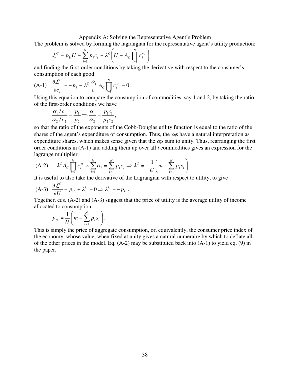Appendix A: Solving the Representative Agent's Problem

The problem is solved by forming the lagrangian for the representative agent's utility production:

$$
\mathcal{L}^C = p_U U - \sum_{i=1}^N p_i c_i + \lambda^C \left( U - A_C \prod_{i=1}^N c_i^{\alpha_i} \right)
$$

and finding the first-order conditions by taking the derivative with respect to the consumer's consumption of each good:

(A-1) 
$$
\frac{\partial \mathcal{L}^C}{\partial c_i} = -p_i - \lambda^C \frac{\alpha_i}{c_i} A_C \prod_{i=1}^N c_i^{\alpha_i} = 0.
$$

Using this equation to compare the consumption of commodities, say 1 and 2, by taking the ratio of the first-order conditions we have

$$
\frac{\alpha_1/c_1}{\alpha_2/c_2} = \frac{p_1}{p_2} \Rightarrow \frac{\alpha_1}{\alpha_2} = \frac{p_1c_1}{p_2c_2},
$$

so that the ratio of the exponents of the Cobb-Douglas utility function is equal to the ratio of the shares of the agent's expenditure of consumption. Thus, the  $\alpha_i$ s have a natural interpretation as expenditure shares, which makes sense given that the  $\alpha$ <sub>i</sub>s sum to unity. Thus, rearranging the first order conditions in (A-1) and adding them up over all *i* commodities gives an expression for the lagrange multiplier

$$
(A-2) - \lambda^C A_C \prod_{i=1}^N c_i^{\alpha_i} \times \sum_{i=1}^N \alpha_i = \sum_{i=1}^N p_i c_i \Rightarrow \lambda^C = -\frac{1}{U} \left( m - \sum_{i=1}^N p_i s_i \right).
$$

It is useful to also take the derivative of the Lagrangian with respect to utility, to give

(A-3) 
$$
\frac{\partial \mathcal{L}^c}{\partial U} = p_U + \lambda^c = 0 \Rightarrow \lambda^c = -p_U.
$$

Together, eqs. (A-2) and (A-3) suggest that the price of utility is the average utility of income allocated to consumption:

$$
p_U = \frac{1}{U} \left( m - \sum_{i=1}^N p_i s_i \right).
$$

This is simply the price of aggregate consumption, or, equivalently, the consumer price index of the economy, whose value, when fixed at unity gives a natural numeraire by which to deflate all of the other prices in the model. Eq. (A-2) may be substituted back into (A-1) to yield eq. (9) in the paper.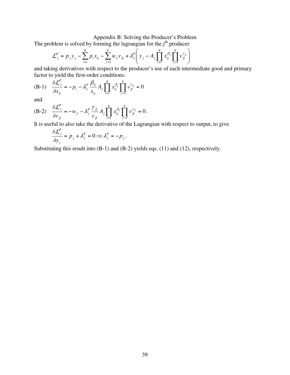### Appendix B: Solving the Producer's Problem

The problem is solved by forming the lagrangian for the  $j<sup>th</sup>$  producer

$$
\mathcal{L}_j^P = p_j y_j - \sum_{i=1}^N p_i x_{ij} - \sum_{f=1}^F w_f v_{f} + \lambda_j^P \left( y_j - A_j \prod_{i=1}^N x_{ij}^{\beta_{ij}} \prod_{f=1}^F v_{f}^{\gamma_{fj}} \right)
$$

and taking derivatives with respect to the producer's use of each intermediate good and primary factor to yield the first-order conditions:

(B-1) 
$$
\frac{\partial \mathcal{L}_j^P}{\partial x_{ij}} = -p_i - \lambda_j^P \frac{\beta_{ij}}{x_{ij}} A_j \prod_{i=1}^N x_{ij}^{\beta_{ij}} \prod_{j=1}^F v_{jj}^{\gamma_{jj}} = 0
$$

and

(B-2) 
$$
\frac{\partial \mathcal{L}_{j}^{P}}{\partial v_{fj}} = -w_{f} - \lambda_{j}^{P} \frac{\gamma_{fj}}{v_{fj}} A_{j} \prod_{i=1}^{N} x_{ij}^{\beta_{ij}} \prod_{f=1}^{F} v_{fj}^{\gamma_{fj}} = 0.
$$

It is useful to also take the derivative of the Lagrangian with respect to output, to give

$$
\frac{\partial \mathcal{L}_j^P}{\partial y_j} = p_j + \lambda_j^P = 0 \Longrightarrow \lambda_j^P = -p_j.
$$

Substituting this result into (B-1) and (B-2) yields eqs. (11) and (12), respectively.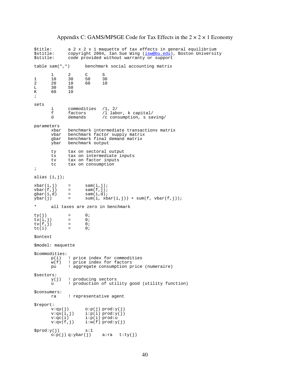\$title: a 2 x 2 x 1 maquette of tax effects in general equilibrium<br>\$stitle: copyright 2004, Ian Sue Wing (isw@bu.edu), Boston Universit \$stitle: copyright 2004, Ian Sue Wing (<u>isw@bu.edu</u>), Boston University<br>\$stitle: code provided without warranty or support code provided without warranty or support table sam(\*,\*) benchmark social accounting matrix 1 2 C S 1 10 30 50 30 2 20 10 60 10 L 30 50<br>K 60 10 60 ; sets i commodities /1, 2/<br>f factors /1 lab f factors /l labor, k capital/<br>d demands /c consumption, s sa /c consumption, s saving/ parameters xbar benchmark intermediate transactions matrix<br>vbar benchmark factor supply matrix vbar benchmark factor supply matrix<br>gbar benchmark final demand matrix gbar benchmark final demand matrix<br>ybar benchmark output benchmark output ty tax on sectoral output<br>tx tax on intermediate in tx tax on intermediate inputs<br>ty tax on factor inputs tv tax on factor inputs<br>tc tax on consumption  $\frac{1}{x}$  on consumption ; alias (i,j);  $xbar(i,j)$  = sam $(i,j);$ <br>vbar $(f,j)$  = sam $(f,j);$ vbar(f,j) =  $\text{sam}(f,j);$ <br>qbar(i,d) =  $\text{sam}(i,d);$  $gbar(i, d)$  = sam $(i, d)i$ <br>  $ybar(j)$  = sum $(i, xb)$  $sum(i, xbar(i,j)) + sum(f, vbar(f,j));$ all taxes are zero in benchmark  $\begin{array}{rcl} \n\text{ty}(j) & = & 0; \\ \n\text{tx}(i, j) & = & 0; \n\end{array}$  $\begin{array}{ccc} \n\text{tx}(i,j) & = & 0; \\
\text{tv}(f,i) & = & 0; \n\end{array}$  $\begin{array}{ccc} \n\text{tv}(f, j) & = & 0; \\
\text{tv}(i) & = & 0; \n\end{array}$  $tc(i)$ \$ontext \$model: maquette \$commodities: p(i) ! price index for commodities w(f) ! price index for factors pu ! aggregate consumption price (numeraire)  $$sectors:$ <br> $y(j)$ y(j) ! producing sectors ! production of utility good (utility function) \$consumers: ! representative agent  $$report:$ <br> $v:qy(j)$  $v:qy(j)$   $o:p(j) \text{prod}:y(j)$ <br> $v:qx(i,j)$   $i:p(i) \text{prod}:y(j)$  $v: q x (i, j)$   $i: p(i) \text{prod}: y(j)$ <br> $v: q c(i)$   $i: p(i) \text{prod}: u$ v:qc(i) i:p(i) prod:u  $v:qv(f,j)$   $i:w(f)$  prod: $y(j)$  $$prod:y(j)$   $s:1$  $o:p(j) q:ybar(j)$  a:ra t:ty(j)

### Appendix C: GAMS/MPSGE Code for Tax Effects in the  $2 \times 2 \times 1$  Economy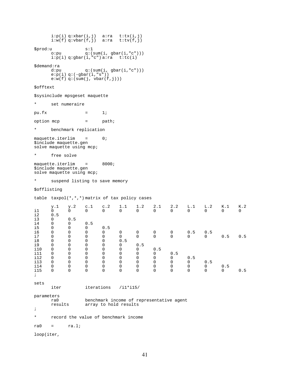i:p(i) q:xbar(i,j) a:ra t:tx(i,j) i:w(f) q:vbar(f,j) a:ra t:tv(f,j) \$prod:u s:1 o:pu q:(sum(i, gbar(i,"c")))  $i:p(i) q:gbar(i,"c") a:ra$  t:tc(i) \$demand:ra<br>d:pu  $q:(sum(i, gbar(i, "c")))$  $e:p(i) q: (-gbar(i, "s"))$  $e: w(f)$  q:(sum(j, vbar(f,j))) \$offtext \$sysinclude mpsgeset maquette \* set numeraire pu.fx  $=$  1; option mcp = path; \* benchmark replication maquette.iterlim = 0; \$include maquette.gen solve maquette using mcp; \* free solve maquette.iterlim = 8000; \$include maquette.gen solve maquette using mcp; \* suspend listing to save memory \$offlisting table taxpol(\*,\*,\*) matrix of tax policy cases y.1 y.2 c.1 c.2 1.1 1.2 2.1 2.2 L.1 L.2 K.1 K.2 i1 0 0 0 0 0 0 0 0 0 0 0 0  $\begin{array}{cc} \texttt{i2} & \texttt{0.5} \\ \texttt{i3} & \texttt{0} \end{array}$ i3 0 0.5 i4 0 0 0.5<br>i5 0 0 0 i5 0 0 0 0.5 i6 0 0 0 0 0 0 0 0 0.5 0.5 i7 0 0 0 0 0 0 0 0 0 0 0.5 0.5 i8 0 0 0 0 0.5 i9 0 0 0 0 0 0.5 i10 0 0 0 0 0 0 0.5 i11 0 0 0 0 0 0 0 0.5 i12 0 0 0 0 0 0 0 0 0.5 i13 0 0 0 0 0 0 0 0 0 0.5 i14 0 0 0 0 0 0 0 0 0 0 0.5 i15 0 0 0 0 0 0 0 0 0 0 0 0.5 ; sets iter iterations /i1\*i15/ parameters ra0 benchmark income of representative agent array to hold results ; \* record the value of benchmark income  $ra0 = ra.l;$ loop(iter,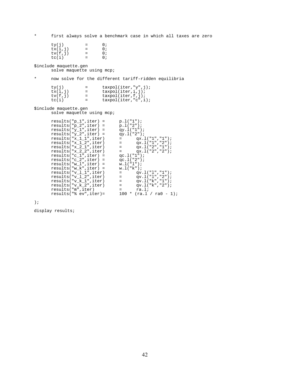\* first always solve a benchmark case in which all taxes are zero  $ty(j) = 0;$ <br> $tx(i,j) = 0;$  $tx(i,j)$  = 0;<br>  $tv(f, j)$  = 0;  $\begin{array}{ccc} \n\text{tv}(f,j) & = & 0; \\ \n\text{tc}(i) & = & 0; \n\end{array}$  $tc(i)$ \$include maquette.gen solve maquette using mcp; \* now solve for the different tariff-ridden equilibria ty(j) = taxpol(iter,"y",j);<br>tx(i,j) = taxpol(iter,i,j);  $\text{tx}(i,j)$  = taxpol(iter,i,j);<br>  $\text{tx}(f,j)$  = taxpol(iter,f,j);  $\begin{array}{rcl} \text{tv}(f,j) & = & \text{taxpol}(iter,f,j); \\ \text{tc}(i) & = & \text{taxpol}(iter, "c", i) \end{array}$  $taxpol(iter,"c",i);$ \$include maquette.gen solve maquette using mcp;  $results("p_1", iter) = p.l("1");$  $results('p_2", iter) = p.l('2");$  $results('y_1",iter) = qy.l('1");$  $results('y_2",iter) = qy.l('2");$  $results('x_1_1",iter) = qx.l('1", "1");$  $results('x_1_2",iter) = qx.l('1", "2");$  $results('x_2_1", iter) = qx.l('2", "1");$  $results('x_2_2", iter) = qx.l('2", "2");$  $results("c_1",iter) = qc.l("1");$  $results("c_2", iter) = qc.l("2");$ results("w\_l",iter) = w.l("l"); results("w\_k",iter) = w.l("k");  $results("v_l_l_riter)$  =  $qv.l("l", "1");$  $results("v_l_2", iter) = qv.l("l", "2");$  $results('v_k_1'.iter) = qv.l('k", "1");$  $results("v_k_2", iter) = qv.l("k", "2");$ 

results("m",iter) = ra.l;

results("% ev",iter)= 100 \* (ra.l / ra0 - 1);

);

display results;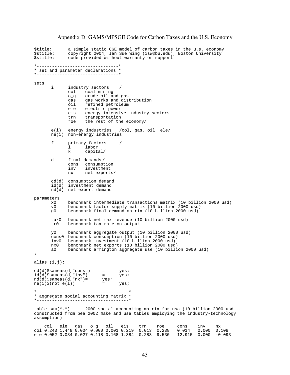Appendix D: GAMS/MPSGE Code for Carbon Taxes and the U.S. Economy

\$title: a simple static CGE model of carbon taxes in the u.s. economy \$stitle: copyright 2004, Ian Sue Wing (isw@bu.edu), Boston University code provided without warranty or support \*--------------------------------\* \* set and parameter declarations \* \*--------------------------------\* sets i industry sectors<br>
col coal minin col coal mining<br>o\_g crude oil an o\_g crude oil and gas<br>gas gas works and dis gas gas works and distribution<br>oil refined petroleum oil refined petroleum<br>ele electric power ele electric power<br>eis energy intensiv eis energy intensive industry sectors<br>trn transportation trn transportation<br>roe the rest of the the rest of the economy/ e(i) energy industries /col, gas, oil, ele/ ne(i) non-energy industries f primary factors /<br>
1 labor l labor<br>k capita capital/ d final demands / cons consumption<br>inv investment inv investment<br>nx net exports net exports/ cd(d) consumption demand id(d) investment demand nd(d) net export demand parameters x0 benchmark intermediate transactions matrix (10 billion 2000 usd) v0 benchmark factor supply matrix (10 billion 2000 usd) benchmark final demand matrix (10 billion 2000 usd) tax0 benchmark net tax revenue (10 billion 2000 usd) benchmark tax rate on output y0 benchmark aggregate output (10 billion 2000 usd) cons0 benchmark consumption (10 billion 2000 usd) inv0 benchmark investment (10 billion 2000 usd) nx0 benchmark net exports (10 billion 2000 usd) benchmark armington aggregate use (10 billion 2000 usd) ; alias (i,j);  $cd(d)$ \$sameas(d,"cons") = yes;  $id(d)$ \$sameas(d,"inv") = yes; nd(d)\$sameas(d,"nx")= yes;  $ne(i)$ \$(not  $e(i)$ ) = yes; \*------------------------------------\* \* aggregate social accounting matrix \* \*------------------------------------\* table sam $(*,*)$  2000 social accounting matrix for usa (10 billion 2000 usd  $$ constructed from bea 2002 make and use tables employing the industry-technology assumption) col ele gas o\_g oil eis trn roe cons inv nx col 0.243 1.448 0.004 0.000 0.001 0.219 0.013 0.238 0.014 0.000 0.108

ele 0.052 0.084 0.027 0.118 0.168 1.384 0.283 9.530 12.915 0.000 -0.093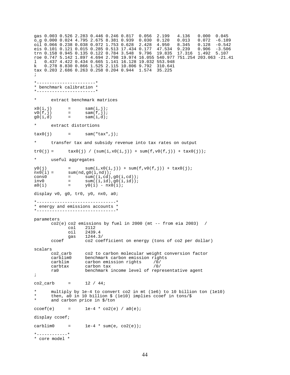gas 0.003 0.526 2.283 0.446 0.246 0.817 0.056 2.199 4.136 0.000 0.045<br>
o\_g 0.000 0.024 4.795 2.675 8.381 0.939 0.030 0.120 0.013 0.072 -6.189 o\_g 0.000 0.024 4.795 2.675 8.381 0.939 0.030 0.120 0.013 0.072 -6.189 oil 0.066 0.238 0.038 0.072 1.753 0.628 2.428 4.950 8.345 0.128 -0.542 eis 0.101 0.121 0.015 0.285 0.513 17.434 0.177 47.534 9.239 0.906 -3.506 trn 0.158 0.945 0.135 0.122 0.784 3.548 9.796 19.835 17.316 1.492 5.107 roe 0.747 5.142 1.897 4.694 2.798 19.974 16.055 540.977 751.254 203.063 -21.41 l 0.437 4.422 0.434 0.665 1.141 16.128 19.032 553.948 k 0.278 8.830 0.866 1.525 2.115 10.806 9.792 310.641 tax 0.203 2.686 0.263 0.258 0.204 0.944 1.574 35.225 ; \*-----------------------\* \* benchmark calibration \* \*-----------------------\* extract benchmark matrices  $x0(i,j)$  = sam $(i,j);$ <br> $v0(f,j)$  = sam $(f,j);$  $v0(f,j)$  = sam(f,j);<br>g0(i,d) = sam(i,d);  $sam(i,d);$ extract distortions  $\text{tax0}(j)$  = sam(" $\text{tax}$ ",j); transfer tax and subsidy revenue into tax rates on output  $tr0(j) =$   $tax0(j) / (sum(i, x0(i, j)) + sum(f, v0(f, j)) + tax0(j));$ \* useful aggregates  $y0(j)$  = sum $(i, x0(i,j))$  + sum $(f, v0(f,j))$  + tax0(j);<br>nx0(i) = sum(nd,g0(i,nd));  $sum(nd,gd(i,nd));$ cons0 =  $\text{sum}((i, cd), g0(i, cd));$ <br>inv0 =  $\text{sum}((i, id), g0(i, id));$ inv0 =  $\text{sum}((i, id), g0(i, id));$ <br>a0(i) =  $y0(i) - nx0(i);$  $=$   $y0(i) - nx0(i);$ display v0, g0, tr0, y0, nx0, a0; \*-------------------------------\* \* energy and emissions accounts \* \*-------------------------------\* parameters  $co2(e) co2$  emissions by fuel in 2000 (mt -- from eia 2003) / col 2112<br>oil 2439 oil 2439.4 gas 1244.3/ ccoef co2 coefficient on energy (tons of co2 per dollar) scalars<br>co2\_carb co2\_carb co2 to carbon molecular weight conversion factor<br>carblim0 benchmark carbon emission rights carblim0 benchmark carbon emission rights<br>carblim carbon emission rights /0/ carblim carbon emission rights /0/<br>carbtax carbon tax /0/ carbon tax ra0 benchmark income level of representative agent ;  $co2_{carb} = 12 / 44;$ \* multiply by 1e-4 to convert co2 in mt (1e6) to 10 billion ton (1e10)<br>\* then all in 10 billion \$ (1e10) implies coef in tons /\$ then, a0 in 10 billion \$ (1e10) implies ccoef in tons/\$ and carbon price in  $$/ton$ ccoef(e) =  $1e-4 * co2(e) / a0(e)$ ; display ccoef;  $carblim0 = 1e-4 * sum(e, co2(e));$ \*------------\* \* core model \*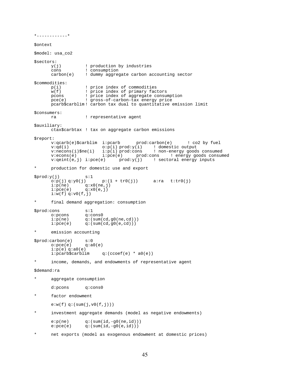\*------------\* \$ontext \$model: usa\_co2 \$sectors: y(j) ! production by industries cons : consumption<br>carbon(e) : dummy aggreg ! dummy aggregate carbon accounting sector \$commodities: p(i)  $\qquad$  ! price index of commodities<br>w(f)  $\qquad$  ! price index of primary fact w(f)  $\vert$  i price index of primary factors<br>pcons : price index of aggregate consu pcons : price index of aggregate consumption<br>pce(e) : gross-of-carbon-tax energy price ! gross-of-carbon-tax energy price pcarb\$carblim ! carbon tax dual to quantitative emission limit \$consumers: ra ! representative agent \$auxiliary: ctax\$carbtax ! tax on aggregate carbon emissions \$report: v:qcarb(e)\$carblim i:pcarb prod:carbon(e) ! co2 by fuel v:qd(i) o:p(i) prod:y(i) ! domestic output<br>v:necons(i)\$ne(i) i:p(i) prod:cons ! non-energy good; v:necons(i)\$ne(i) i:p(i) prod:cons ! non-energy goods consumed v:econs(e) i:pce(e) prod:cons ! energy goods consumed<br>v:qeint(e,j) i:pce(e) prod:y(j) ! sectoral energy inputs ! sectoral energy inputs \* production for domestic use and export  $$prod: y(j)$  s:1<br>o:p(j) q:y0(j)  $p:(1 + tr0(j))$  a:ra t:tr0(j)  $i: p(ne)$   $q:x0(ne, j)$ <br>  $i: pce(e)$   $q:x0(e, j)$  $q:x0(e,j)$  $i: w(f) q: v0(f, \frac{1}{J})$ \* final demand aggregation: consumption \$prod:cons s:1<br>o:pcons q:co o:pcons q:cons0  $i: p(ne)$  q:(sum(cd,g0(ne,cd)))<br> $i: pce(e)$  q:(sum(cd,g0(e,cd)))  $q:(sum(cd,g0(e,cd)))$ \* emission accounting \$prod:carbon(e) s:0<br>o:pce(e) q:a  $q:a0(e)$ i:p(e) q:a0(e)<br>i:pcarb\$carblim  $q:(\text{ccoef}(e) * a0(e))$ \* income, demands, and endowments of representative agent \$demand:ra \* aggregate consumption d:pcons q:cons0 \* factor endowment  $e:w(f) q:(sum(j,v0(f,j)))$ investment aggregate demands (model as negative endowments)  $e:p(ne)$  q:(sum(id,-g0(ne,id)))  $e:pec(e)$  q:(sum(id,-g0(e,id))) \* net exports (model as exogenous endowment at domestic prices)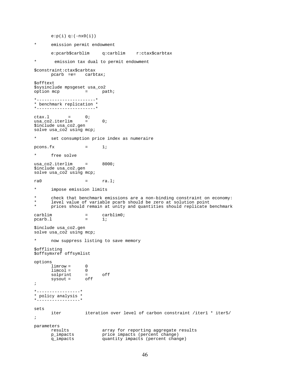$e:p(i) q: (-nx0(i))$ \* emission permit endowment e:pcarb\$carblim q:carblim r:ctax\$carbtax emission tax dual to permit endowment \$constraint:ctax\$carbtax pcarb =e= carbtax; \$offtext \$sysinclude mpsgeset usa\_co2<br>option mcp = path; option map  $\equiv$  path; \*-----------------------\* \* benchmark replication \* \*-----------------------\*  $ctax.1 = 0;$ <br>usa\_co2.iterlim = usa\_co2.iterlim = 0; \$include usa\_co2.gen solve usa\_co2 using mcp; \* set consumption price index as numeraire  $pcons.fx = 1;$ \* free solve usa\_co2.iterlim = 8000; \$include usa\_co2.gen solve usa\_co2 using mcp;  $ra0 = ra.l;$ \* impose emission limits \* check that benchmark emissions are a non-binding constraint on economy:<br>\* level value of variable poarb should be zero at solution point level value of variable pcarb should be zero at solution point prices should remain at unity and quantities should replicate benchmark carblim = carblim0;  $pcarb.1 = 1;$ \$include usa\_co2.gen solve usa\_co2 using mcp; \* now suppress listing to save memory \$offlisting \$offsymxref offsymlist options  $limrow = 0$ <br> $limcol = 0$  $limcol = 0$ <br>solprint = solprint = off<br>sysout = off  $sysout =$ ; \*-----------------\* \* policy analysis \* \*-----------------\* sets iter iteration over level of carbon constraint /iter1 \* iter5/ ; parameters results array for reporting aggregate results p\_impacts price impacts (percent change) q\_impacts quantity impacts (percent change)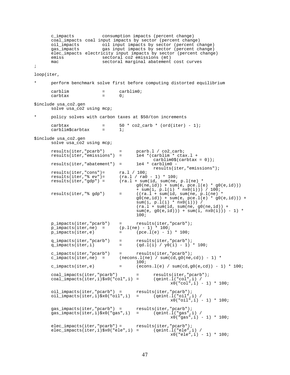c\_impacts consumption impacts (percent change) coal\_impacts coal input impacts by sector (percent change)<br>oil\_impacts oil input impacts by sector (percent cl oil\_impacts oil input impacts by sector (percent change)<br>gas\_impacts gas input impacts by sector (percent change) gas input impacts by sector (percent change) elec\_impacts electricity input impacts by sector (percent change)<br>emiss sectoral co2 emissions (mt) emiss sectoral co2 emissions (mt) mac sectoral marginal abatement cost curves ; loop(iter, \* perform benchmark solve first before computing distorted equilibrium  $\begin{array}{ccc} \text{cardim} & = & \text{cardim0}; \\ \text{cardi} & = & 0; \end{array}$ carbtax = 0; \$include usa\_co2.gen solve usa\_co2 using mcp; policy solves with carbon taxes at \$50/ton increments carbtax  $=$  50  $*$  co2\_carb  $*$  (ord(iter) - 1);<br>carblim\$carbtax  $=$  1; carblim\$carbtax = 1; \$include usa\_co2.gen solve usa\_co2 using mcp; results(iter,"pcarb") = pcarb.l / co2\_carb;<br>results(iter,"emissions") = 1e4 \*(carblim \* ctax.l +  $results(iter, "emissions") =$ carblim0\$(carbtax =  $0$ ));<br>1e4 \* carblim0  $results(iter, "abatement") =$ results(iter,"emissions"); results(iter,"cons")=<br>results(iter,"% ev")= results(iter,"cons")=  $ra.l$  / 100;<br>results(iter,"% ev")= (ra.l / ra0 - 1) \* 100;<br>results(iter,"gdp") = (ra.l + sum(id, sum(ne,  $(ra.1 + sum(id, sum(ne, p.1(ne) *$  $g0(ne,id)$ ) + sum(e, pce.l(e) \*  $g0(e,id)$ ) + sum(i, p.l(i) \* nx0(i))) / 100; results(iter,"% $gdp$ ") = ((ra.l + sum(id, sum(ne, p.l(ne) \*  $g0(ne, id)$  + sum(e, pce.l(e) \*  $g0(e, id)$  + sum(i, p.l(i) \* nx0(i))) /  $(ra.1 + sum(id, sum(ne, g0(ne, id)) +$  $sum(e, g0(e, id))) + sum(i, nx0(i))) - 1) *$ 100; p\_impacts(iter,"pcarb") = results(iter,"pcarb");<br>p\_impacts(iter,ne) =  $(p.l(ne) - 1) * 100$ ;  $p_i = p_i$  =  $p_i$  =  $p_i$  =  $p_i$  = 1000;  $p_i$  = 100;  $p_i$  = 100;  $p_i$  = 100;  $p_i$  = 100;  $p_i$  = 100;  $p_i$  = 100;  $p_i$  = 100;  $p_i$  = 100;  $p_i$  = 100;  $p_i$  = 100;  $p_i$  = 100;  $p_i$  = 100;  $p_i$  = 100;  $p_i$  = 100;  $p_i$  = 100;  $p_i$  $=$  (pce.l(e) - 1) \* 100; q\_impacts(iter,"pcarb") = results(iter,"pcarb");<br>q\_impacts(iter,i) =  $(qd.l(i) / y0(i) - 1)$  $=$  (qd.l(i) / y0(i) - 1) \* 100; c\_impacts(iter,"pcarb") = results(iter,"pcarb");<br>c\_impacts(iter,ne) = (necons.l(ne) / sum(cd,g0(ne,  $(necons.l(ne) / sum(cd,g0(ne,cd)) - 1) *$ 100;  $c\_impacts(iter,e)$  =  $(econs.l(e) / sum(cd,g0(e,cd)) - 1) * 100i$ coal\_impacts(iter,"pcarb") = results(iter,"pcarb");<br>coal\_impacts(iter,i)\$x0("col",i) = (qeint.l("col",i) /  $coal\_impacts(iter,i)$ \$x0("col",i) =  $x0("col", i) - 1) * 100;$ oil\_impacts(iter,"pcarb") = results(iter,"pcarb");<br>oil\_impacts(iter,i)\$x0("oil",i) = (qeint.l("oil",i) /  $\begin{array}{lll} \text{odd} & \text{invariant} \\ \text{odd} & \text{imparts}(\text{iter},i) \frac{1}{2} \times 0 \times (0 \times 1)^i & \text{if } i \end{array}$  $x0("oil", i) - 1) * 100;$ gas\_impacts(iter,"pcarb") = results(iter,"pcarb"); gas\_impacts(iter,i)\$x0("gas",i) = (qeint.l("gas",i) /  $x0("gas", i) - 1) * 100;$ elec\_impacts(iter,"pcarb") = results(iter,"pcarb"); elec\_impacts(iter,i)\$x0("ele",i) = (qeint.l("ele",i) / x0("ele",i) - 1) \* 100;